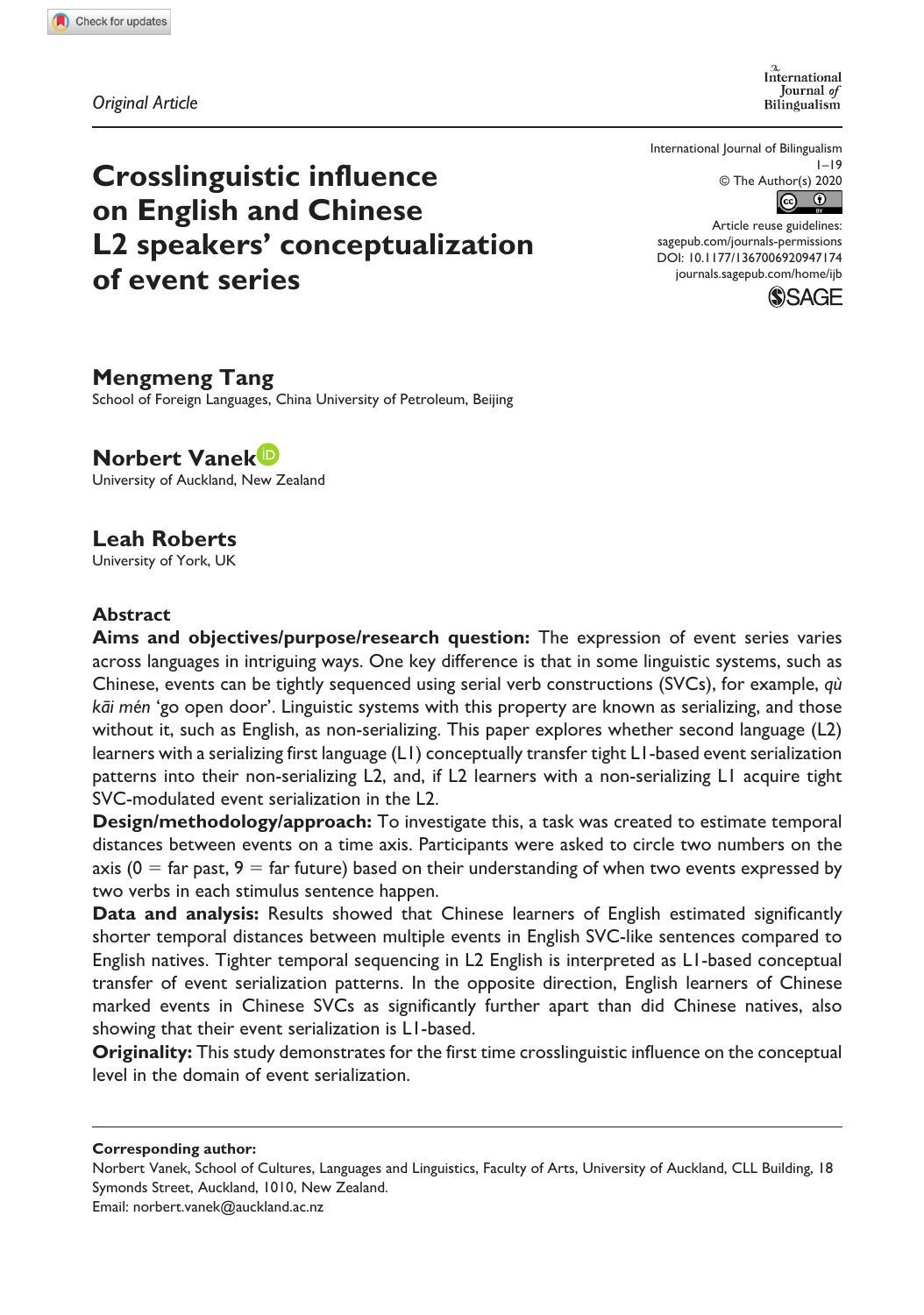*Original Article*

International Journal of Bilingualism

International Journal of Bilingualism  $1 - 19$  $\circledcirc$  The Author(s) 2020<br> $\circledcirc$ 

# **Crosslinguistic influence on English and Chinese L2 speakers' conceptualization of event series**

DOI: 10.1177/1367006920947174 Article reuse guidelines: [sagepub.com/journals-permissions](https://uk.sagepub.com/en-gb/journals-permissions) [journals.sagepub.com/home/ijb](https://journals.sagepub.com/home/ijb)



# **Mengmeng Tang**

School of Foreign Languages, China University of Petroleum, Beijing

**Norbert Vanek** University of Auckland, New Zealand

# **Leah Roberts**

University of York, UK

### **Abstract**

**Aims and objectives/purpose/research question:** The expression of event series varies across languages in intriguing ways. One key difference is that in some linguistic systems, such as Chinese, events can be tightly sequenced using serial verb constructions (SVCs), for example, *qù kāi mén* 'go open door'. Linguistic systems with this property are known as serializing, and those without it, such as English, as non-serializing. This paper explores whether second language (L2) learners with a serializing first language (L1) conceptually transfer tight L1-based event serialization patterns into their non-serializing L2, and, if L2 learners with a non-serializing L1 acquire tight SVC-modulated event serialization in the L2.

**Design/methodology/approach:** To investigate this, a task was created to estimate temporal distances between events on a time axis. Participants were asked to circle two numbers on the axis ( $0 = \text{far past}, 9 = \text{far future}$ ) based on their understanding of when two events expressed by two verbs in each stimulus sentence happen.

**Data and analysis:** Results showed that Chinese learners of English estimated significantly shorter temporal distances between multiple events in English SVC-like sentences compared to English natives. Tighter temporal sequencing in L2 English is interpreted as L1-based conceptual transfer of event serialization patterns. In the opposite direction, English learners of Chinese marked events in Chinese SVCs as significantly further apart than did Chinese natives, also showing that their event serialization is L1-based.

**Originality:** This study demonstrates for the first time crosslinguistic influence on the conceptual level in the domain of event serialization.

**Corresponding author:**

Norbert Vanek, School of Cultures, Languages and Linguistics, Faculty of Arts, University of Auckland, CLL Building, 18 Symonds Street, Auckland, 1010, New Zealand. Email: [norbert.vanek@auckland.ac.nz](mailto:norbert.vanek@auckland.ac.nz)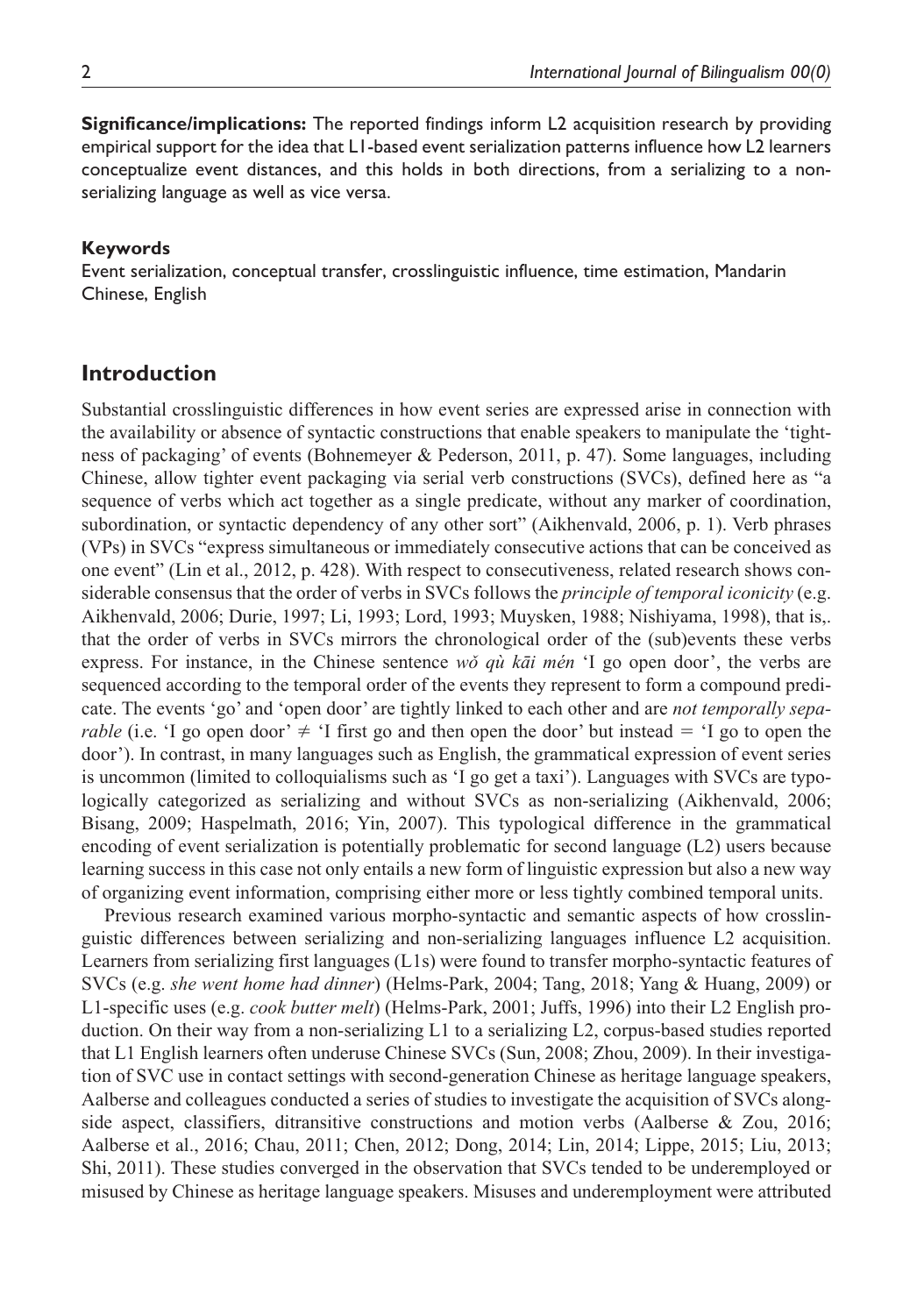**Significance/implications:** The reported findings inform L2 acquisition research by providing empirical support for the idea that L1-based event serialization patterns influence how L2 learners conceptualize event distances, and this holds in both directions, from a serializing to a nonserializing language as well as vice versa.

#### **Keywords**

Event serialization, conceptual transfer, crosslinguistic influence, time estimation, Mandarin Chinese, English

### **Introduction**

Substantial crosslinguistic differences in how event series are expressed arise in connection with the availability or absence of syntactic constructions that enable speakers to manipulate the 'tightness of packaging' of events (Bohnemeyer & Pederson, 2011, p. 47). Some languages, including Chinese, allow tighter event packaging via serial verb constructions (SVCs), defined here as "a sequence of verbs which act together as a single predicate, without any marker of coordination, subordination, or syntactic dependency of any other sort" (Aikhenvald, 2006, p. 1). Verb phrases (VPs) in SVCs "express simultaneous or immediately consecutive actions that can be conceived as one event" (Lin et al., 2012, p. 428). With respect to consecutiveness, related research shows considerable consensus that the order of verbs in SVCs follows the *principle of temporal iconicity* (e.g. Aikhenvald, 2006; Durie, 1997; Li, 1993; Lord, 1993; Muysken, 1988; Nishiyama, 1998), that is,. that the order of verbs in SVCs mirrors the chronological order of the (sub)events these verbs express. For instance, in the Chinese sentence *wǒ qù kāi mén* 'I go open door', the verbs are sequenced according to the temporal order of the events they represent to form a compound predicate. The events 'go' and 'open door' are tightly linked to each other and are *not temporally separable* (i.e. 'I go open door'  $\neq$  'I first go and then open the door' but instead  $=$  'I go to open the door'). In contrast, in many languages such as English, the grammatical expression of event series is uncommon (limited to colloquialisms such as 'I go get a taxi'). Languages with SVCs are typologically categorized as serializing and without SVCs as non-serializing (Aikhenvald, 2006; Bisang, 2009; Haspelmath, 2016; Yin, 2007). This typological difference in the grammatical encoding of event serialization is potentially problematic for second language (L2) users because learning success in this case not only entails a new form of linguistic expression but also a new way of organizing event information, comprising either more or less tightly combined temporal units.

Previous research examined various morpho-syntactic and semantic aspects of how crosslinguistic differences between serializing and non-serializing languages influence L2 acquisition. Learners from serializing first languages (L1s) were found to transfer morpho-syntactic features of SVCs (e.g. *she went home had dinner*) (Helms-Park, 2004; Tang, 2018; Yang & Huang, 2009) or L1-specific uses (e.g. *cook butter melt*) (Helms-Park, 2001; Juffs, 1996) into their L2 English production. On their way from a non-serializing L1 to a serializing L2, corpus-based studies reported that L1 English learners often underuse Chinese SVCs (Sun, 2008; Zhou, 2009). In their investigation of SVC use in contact settings with second-generation Chinese as heritage language speakers, Aalberse and colleagues conducted a series of studies to investigate the acquisition of SVCs alongside aspect, classifiers, ditransitive constructions and motion verbs (Aalberse & Zou, 2016; Aalberse et al., 2016; Chau, 2011; Chen, 2012; Dong, 2014; Lin, 2014; Lippe, 2015; Liu, 2013; Shi, 2011). These studies converged in the observation that SVCs tended to be underemployed or misused by Chinese as heritage language speakers. Misuses and underemployment were attributed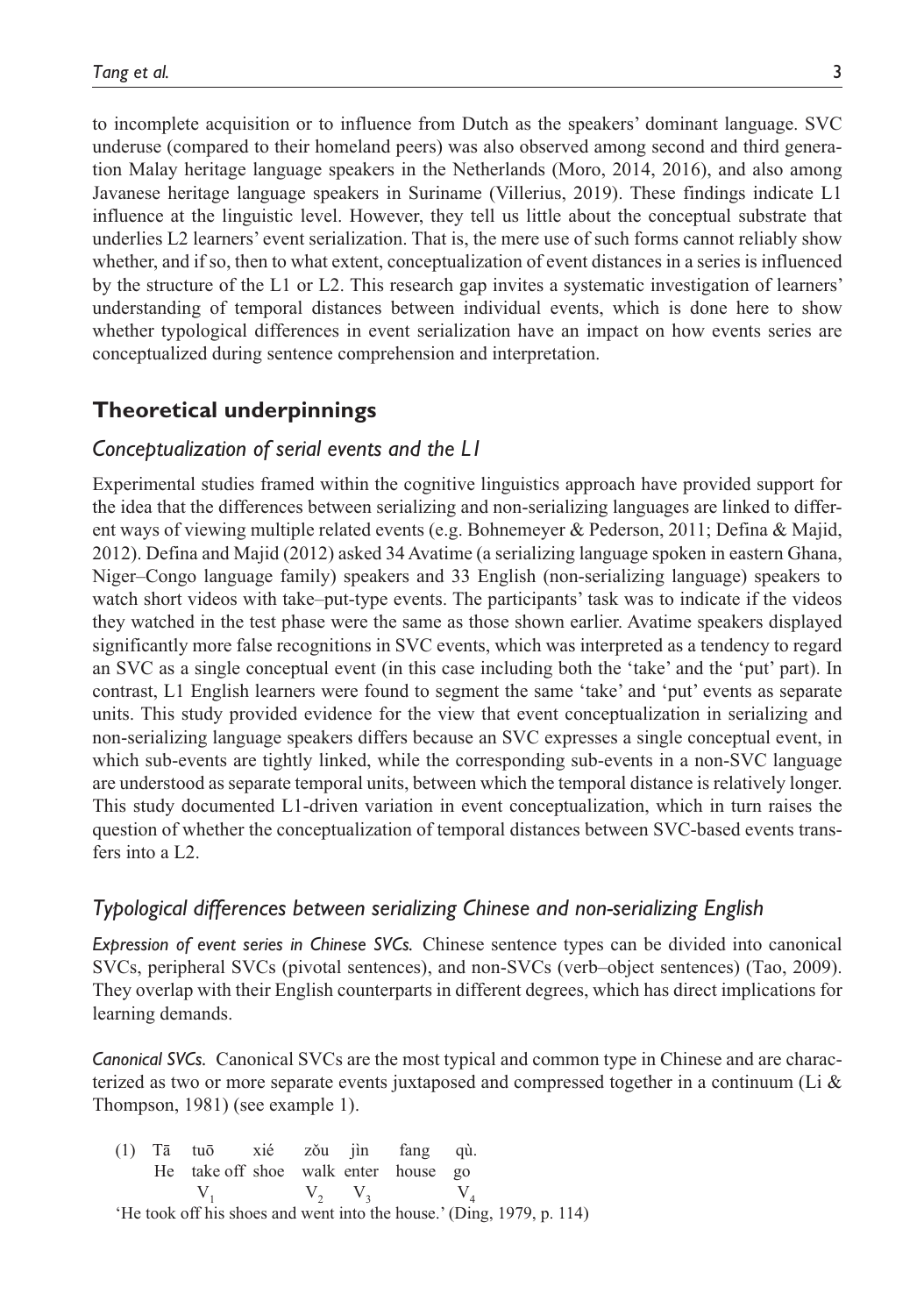to incomplete acquisition or to influence from Dutch as the speakers' dominant language. SVC underuse (compared to their homeland peers) was also observed among second and third generation Malay heritage language speakers in the Netherlands (Moro, 2014, 2016), and also among Javanese heritage language speakers in Suriname (Villerius, 2019). These findings indicate L1 influence at the linguistic level. However, they tell us little about the conceptual substrate that underlies L2 learners' event serialization. That is, the mere use of such forms cannot reliably show whether, and if so, then to what extent, conceptualization of event distances in a series is influenced by the structure of the L1 or L2. This research gap invites a systematic investigation of learners' understanding of temporal distances between individual events, which is done here to show whether typological differences in event serialization have an impact on how events series are conceptualized during sentence comprehension and interpretation.

# **Theoretical underpinnings**

### *Conceptualization of serial events and the L1*

Experimental studies framed within the cognitive linguistics approach have provided support for the idea that the differences between serializing and non-serializing languages are linked to different ways of viewing multiple related events (e.g. Bohnemeyer & Pederson, 2011; Defina & Majid, 2012). Defina and Majid (2012) asked 34 Avatime (a serializing language spoken in eastern Ghana, Niger–Congo language family) speakers and 33 English (non-serializing language) speakers to watch short videos with take–put-type events. The participants' task was to indicate if the videos they watched in the test phase were the same as those shown earlier. Avatime speakers displayed significantly more false recognitions in SVC events, which was interpreted as a tendency to regard an SVC as a single conceptual event (in this case including both the 'take' and the 'put' part). In contrast, L1 English learners were found to segment the same 'take' and 'put' events as separate units. This study provided evidence for the view that event conceptualization in serializing and non-serializing language speakers differs because an SVC expresses a single conceptual event, in which sub-events are tightly linked, while the corresponding sub-events in a non-SVC language are understood as separate temporal units, between which the temporal distance is relatively longer. This study documented L1-driven variation in event conceptualization, which in turn raises the question of whether the conceptualization of temporal distances between SVC-based events transfers into a L2.

# *Typological differences between serializing Chinese and non-serializing English*

*Expression of event series in Chinese SVCs.* Chinese sentence types can be divided into canonical SVCs, peripheral SVCs (pivotal sentences), and non-SVCs (verb–object sentences) (Tao, 2009). They overlap with their English counterparts in different degrees, which has direct implications for learning demands.

*Canonical SVCs.* Canonical SVCs are the most typical and common type in Chinese and are characterized as two or more separate events juxtaposed and compressed together in a continuum (Li  $\&$ Thompson, 1981) (see example 1).

|  | (1) Tā tuō xié zǒu jìn fang qù.                                       |  |  |  |  |
|--|-----------------------------------------------------------------------|--|--|--|--|
|  | He take off shoe walk enter house go                                  |  |  |  |  |
|  | $V_1$ $V_2$ $V_3$ $V_4$                                               |  |  |  |  |
|  | 'He took off his shoes and went into the house.' (Ding, 1979, p. 114) |  |  |  |  |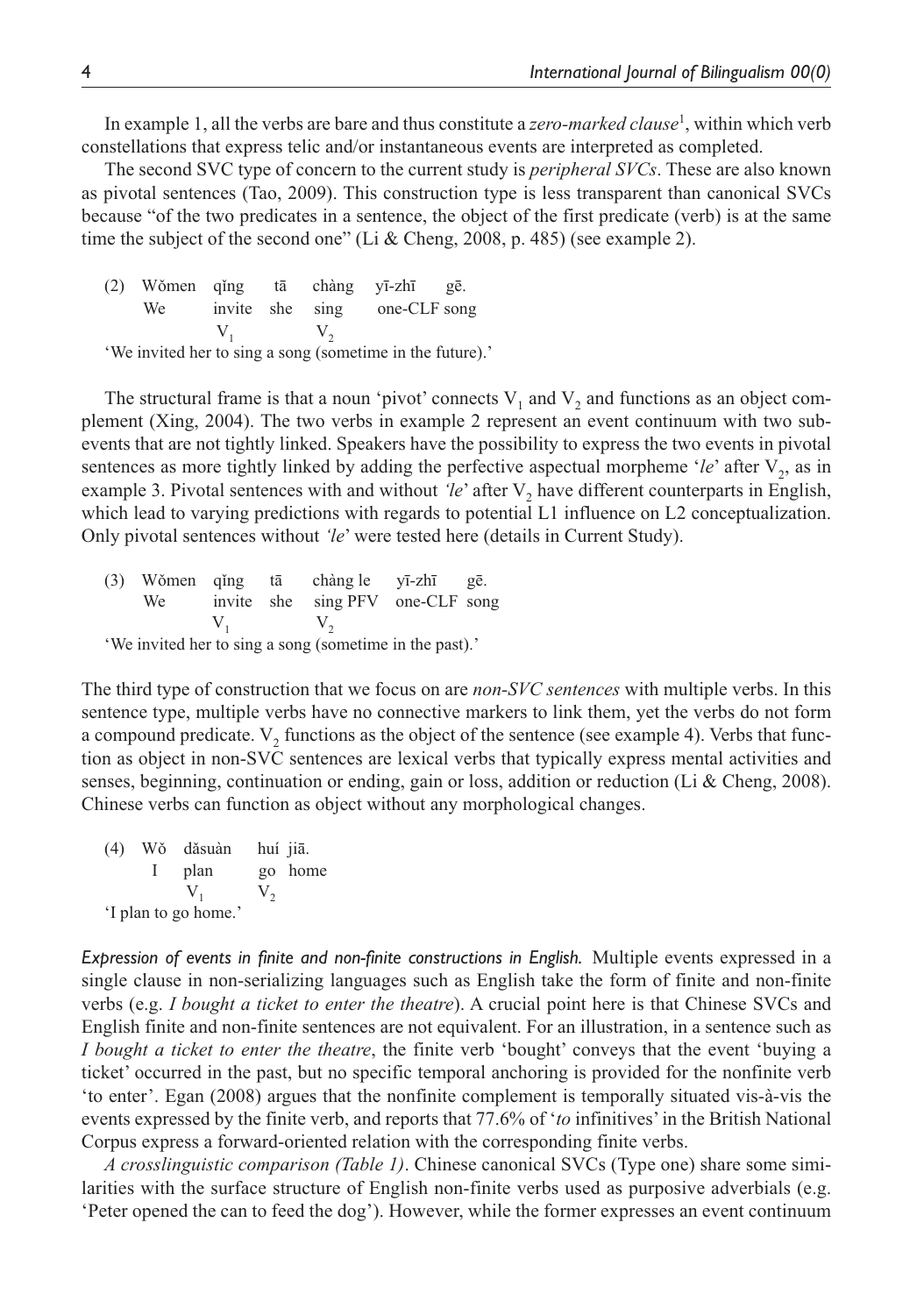In example 1, all the verbs are bare and thus constitute a *zero-marked clause*<sup>1</sup> , within which verb constellations that express telic and/or instantaneous events are interpreted as completed.

The second SVC type of concern to the current study is *peripheral SVCs*. These are also known as pivotal sentences (Tao, 2009). This construction type is less transparent than canonical SVCs because "of the two predicates in a sentence, the object of the first predicate (verb) is at the same time the subject of the second one" (Li & Cheng, 2008, p. 485) (see example 2).

(2) Wǒmen qǐng tā chàng yī-zhī gē. We invite she sing one-CLF song  $V_1$   $V_2$ 'We invited her to sing a song (sometime in the future).'

The structural frame is that a noun 'pivot' connects  $V_1$  and  $V_2$  and functions as an object complement (Xing, 2004). The two verbs in example 2 represent an event continuum with two subevents that are not tightly linked. Speakers have the possibility to express the two events in pivotal sentences as more tightly linked by adding the perfective aspectual morpheme '*le*' after  $V_2$ , as in example 3. Pivotal sentences with and without *'le'* after V<sub>2</sub> have different counterparts in English, which lead to varying predictions with regards to potential L1 influence on L2 conceptualization. Only pivotal sentences without *'le*' were tested here (details in Current Study).

(3) Wǒmen qǐng tā chàng le yī-zhī gē. We invite she sing PFV one-CLF song  $V_1$   $V_2$ 

'We invited her to sing a song (sometime in the past).'

The third type of construction that we focus on are *non-SVC sentences* with multiple verbs. In this sentence type, multiple verbs have no connective markers to link them, yet the verbs do not form a compound predicate.  $V_2$  functions as the object of the sentence (see example 4). Verbs that function as object in non-SVC sentences are lexical verbs that typically express mental activities and senses, beginning, continuation or ending, gain or loss, addition or reduction (Li & Cheng, 2008). Chinese verbs can function as object without any morphological changes.

(4) Wǒ dǎsuàn huí jiā. I plan go home  $V_1$   $V_2$ 'I plan to go home.'

*Expression of events in finite and non-finite constructions in English.* Multiple events expressed in a single clause in non-serializing languages such as English take the form of finite and non-finite verbs (e.g. *I bought a ticket to enter the theatre*). A crucial point here is that Chinese SVCs and English finite and non-finite sentences are not equivalent. For an illustration, in a sentence such as *I bought a ticket to enter the theatre*, the finite verb 'bought' conveys that the event 'buying a ticket' occurred in the past, but no specific temporal anchoring is provided for the nonfinite verb 'to enter'. Egan (2008) argues that the nonfinite complement is temporally situated vis-à-vis the events expressed by the finite verb, and reports that 77.6% of '*to* infinitives' in the British National Corpus express a forward-oriented relation with the corresponding finite verbs.

*A crosslinguistic comparison (Table 1)*. Chinese canonical SVCs (Type one) share some similarities with the surface structure of English non-finite verbs used as purposive adverbials (e.g. 'Peter opened the can to feed the dog'). However, while the former expresses an event continuum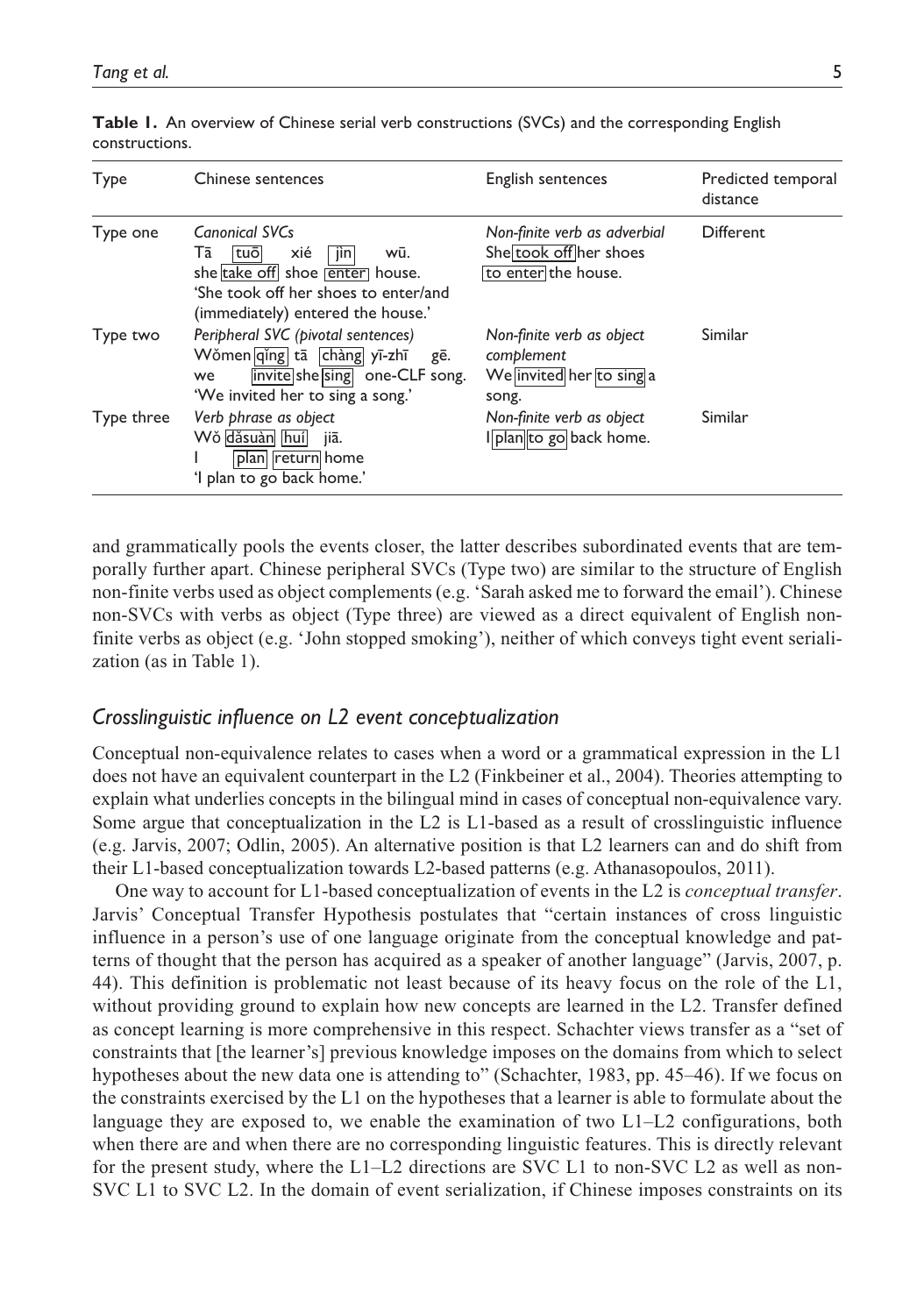| Type       | Chinese sentences                                                                                                                                                  | English sentences                                                             | Predicted temporal<br>distance |
|------------|--------------------------------------------------------------------------------------------------------------------------------------------------------------------|-------------------------------------------------------------------------------|--------------------------------|
| Type one   | Canonical SVCs<br>xié<br>Тā<br> tuō <br>wū.<br>[in]<br>she take off shoe enter house.<br>'She took off her shoes to enter/and<br>(immediately) entered the house.' | Non-finite verb as adverbial<br>She took off her shoes<br>to enter the house. | Different                      |
| Type two   | Peripheral SVC (pivotal sentences)<br>Wǒmen qǐng tā chàng yī-zhī<br>gē.<br>invite she sing one-CLF song.<br>we<br>'We invited her to sing a song.'                 | Non-finite verb as object<br>complement<br>We invited her to sing a<br>song.  | Similar                        |
| Type three | Verb phrase as object<br>Wǒ dǎsuàn huí<br>jiā.<br>plan  return  home<br>'I plan to go back home.'                                                                  | Non-finite verb as object<br>Iplan to go back home.                           | Similar                        |

**Table 1.** An overview of Chinese serial verb constructions (SVCs) and the corresponding English constructions.

and grammatically pools the events closer, the latter describes subordinated events that are temporally further apart. Chinese peripheral SVCs (Type two) are similar to the structure of English non-finite verbs used as object complements (e.g. 'Sarah asked me to forward the email'). Chinese non-SVCs with verbs as object (Type three) are viewed as a direct equivalent of English nonfinite verbs as object (e.g. 'John stopped smoking'), neither of which conveys tight event serialization (as in Table 1).

### *Crosslinguistic influence on L2 event conceptualization*

Conceptual non-equivalence relates to cases when a word or a grammatical expression in the L1 does not have an equivalent counterpart in the L2 (Finkbeiner et al., 2004). Theories attempting to explain what underlies concepts in the bilingual mind in cases of conceptual non-equivalence vary. Some argue that conceptualization in the L2 is L1-based as a result of crosslinguistic influence (e.g. Jarvis, 2007; Odlin, 2005). An alternative position is that L2 learners can and do shift from their L1-based conceptualization towards L2-based patterns (e.g. Athanasopoulos, 2011).

One way to account for L1-based conceptualization of events in the L2 is *conceptual transfer*. Jarvis' Conceptual Transfer Hypothesis postulates that "certain instances of cross linguistic influence in a person's use of one language originate from the conceptual knowledge and patterns of thought that the person has acquired as a speaker of another language" (Jarvis, 2007, p. 44). This definition is problematic not least because of its heavy focus on the role of the L1, without providing ground to explain how new concepts are learned in the L2. Transfer defined as concept learning is more comprehensive in this respect. Schachter views transfer as a "set of constraints that [the learner's] previous knowledge imposes on the domains from which to select hypotheses about the new data one is attending to" (Schachter, 1983, pp. 45–46). If we focus on the constraints exercised by the L1 on the hypotheses that a learner is able to formulate about the language they are exposed to, we enable the examination of two L1–L2 configurations, both when there are and when there are no corresponding linguistic features. This is directly relevant for the present study, where the L1–L2 directions are SVC L1 to non-SVC L2 as well as non-SVC L1 to SVC L2. In the domain of event serialization, if Chinese imposes constraints on its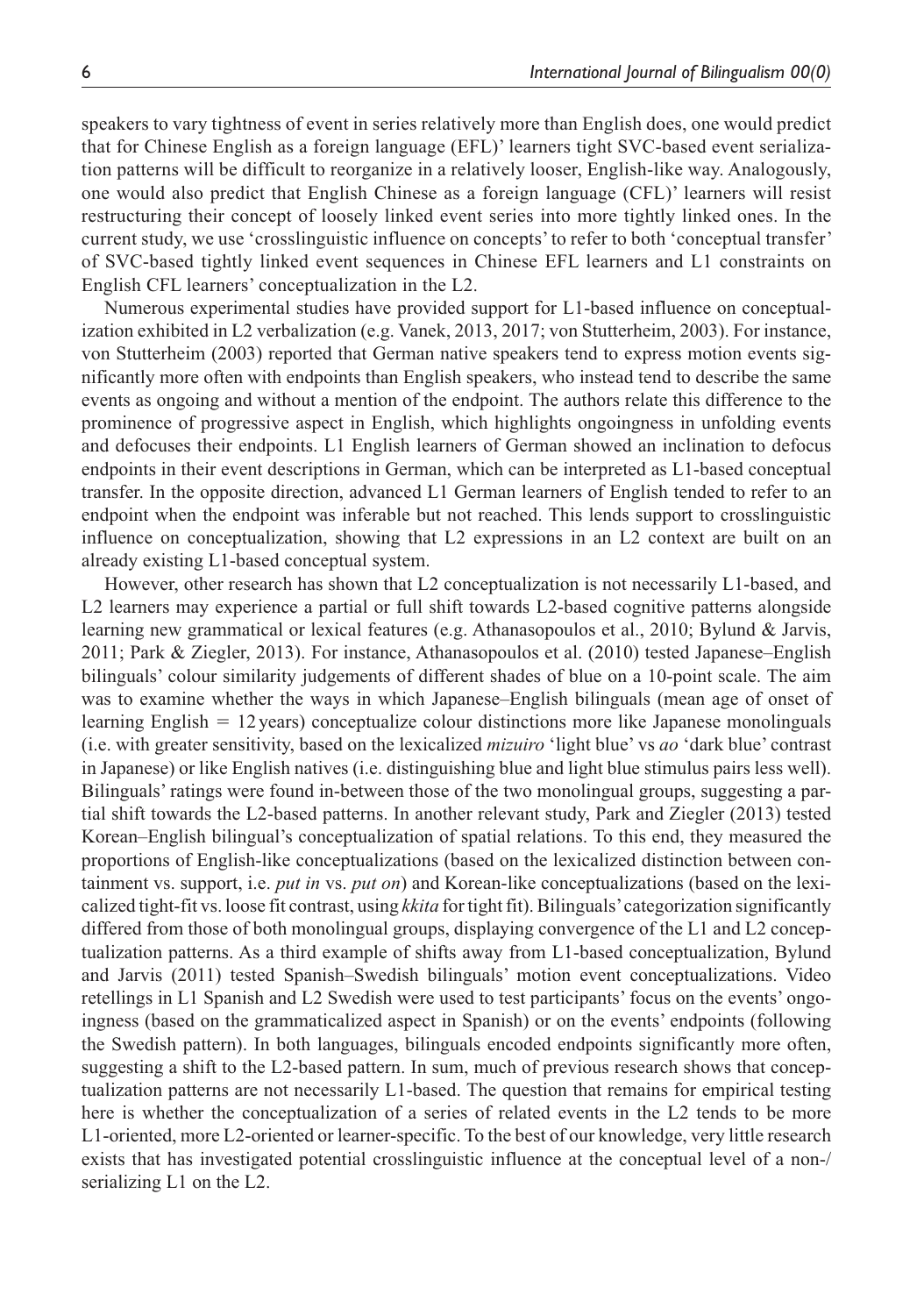speakers to vary tightness of event in series relatively more than English does, one would predict that for Chinese English as a foreign language (EFL)' learners tight SVC-based event serialization patterns will be difficult to reorganize in a relatively looser, English-like way. Analogously, one would also predict that English Chinese as a foreign language (CFL)' learners will resist restructuring their concept of loosely linked event series into more tightly linked ones. In the current study, we use 'crosslinguistic influence on concepts' to refer to both 'conceptual transfer' of SVC-based tightly linked event sequences in Chinese EFL learners and L1 constraints on English CFL learners' conceptualization in the L2.

Numerous experimental studies have provided support for L1-based influence on conceptualization exhibited in L2 verbalization (e.g. Vanek, 2013, 2017; von Stutterheim, 2003). For instance, von Stutterheim (2003) reported that German native speakers tend to express motion events significantly more often with endpoints than English speakers, who instead tend to describe the same events as ongoing and without a mention of the endpoint. The authors relate this difference to the prominence of progressive aspect in English, which highlights ongoingness in unfolding events and defocuses their endpoints. L1 English learners of German showed an inclination to defocus endpoints in their event descriptions in German, which can be interpreted as L1-based conceptual transfer. In the opposite direction, advanced L1 German learners of English tended to refer to an endpoint when the endpoint was inferable but not reached. This lends support to crosslinguistic influence on conceptualization, showing that L2 expressions in an L2 context are built on an already existing L1-based conceptual system.

However, other research has shown that L2 conceptualization is not necessarily L1-based, and L2 learners may experience a partial or full shift towards L2-based cognitive patterns alongside learning new grammatical or lexical features (e.g. Athanasopoulos et al., 2010; Bylund & Jarvis, 2011; Park & Ziegler, 2013). For instance, Athanasopoulos et al. (2010) tested Japanese–English bilinguals' colour similarity judgements of different shades of blue on a 10-point scale. The aim was to examine whether the ways in which Japanese–English bilinguals (mean age of onset of learning English = 12 years) conceptualize colour distinctions more like Japanese monolinguals (i.e. with greater sensitivity, based on the lexicalized *mizuiro* 'light blue' vs *ao* 'dark blue' contrast in Japanese) or like English natives (i.e. distinguishing blue and light blue stimulus pairs less well). Bilinguals' ratings were found in-between those of the two monolingual groups, suggesting a partial shift towards the L2-based patterns. In another relevant study, Park and Ziegler (2013) tested Korean–English bilingual's conceptualization of spatial relations. To this end, they measured the proportions of English-like conceptualizations (based on the lexicalized distinction between containment vs. support, i.e. *put in* vs. *put on*) and Korean-like conceptualizations (based on the lexicalized tight-fit vs. loose fit contrast, using *kkita* for tight fit). Bilinguals' categorization significantly differed from those of both monolingual groups, displaying convergence of the L1 and L2 conceptualization patterns. As a third example of shifts away from L1-based conceptualization, Bylund and Jarvis (2011) tested Spanish–Swedish bilinguals' motion event conceptualizations. Video retellings in L1 Spanish and L2 Swedish were used to test participants' focus on the events' ongoingness (based on the grammaticalized aspect in Spanish) or on the events' endpoints (following the Swedish pattern). In both languages, bilinguals encoded endpoints significantly more often, suggesting a shift to the L2-based pattern. In sum, much of previous research shows that conceptualization patterns are not necessarily L1-based. The question that remains for empirical testing here is whether the conceptualization of a series of related events in the L2 tends to be more L1-oriented, more L2-oriented or learner-specific. To the best of our knowledge, very little research exists that has investigated potential crosslinguistic influence at the conceptual level of a non-/ serializing L1 on the L2.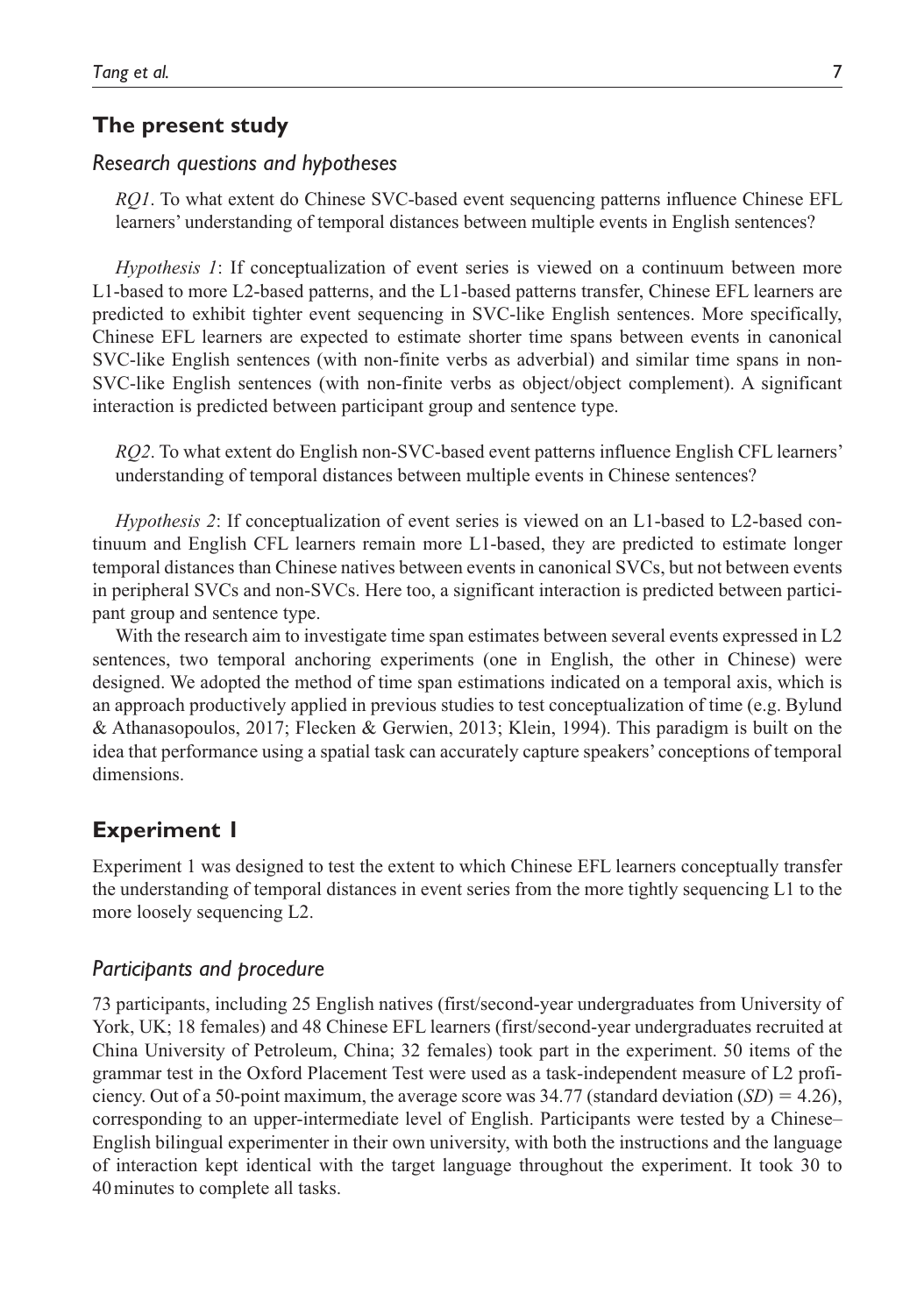### **The present study**

### *Research questions and hypotheses*

*RQ1*. To what extent do Chinese SVC-based event sequencing patterns influence Chinese EFL learners' understanding of temporal distances between multiple events in English sentences?

*Hypothesis 1*: If conceptualization of event series is viewed on a continuum between more L1-based to more L2-based patterns, and the L1-based patterns transfer, Chinese EFL learners are predicted to exhibit tighter event sequencing in SVC-like English sentences. More specifically, Chinese EFL learners are expected to estimate shorter time spans between events in canonical SVC-like English sentences (with non-finite verbs as adverbial) and similar time spans in non-SVC-like English sentences (with non-finite verbs as object/object complement). A significant interaction is predicted between participant group and sentence type.

*RQ2*. To what extent do English non-SVC-based event patterns influence English CFL learners' understanding of temporal distances between multiple events in Chinese sentences?

*Hypothesis 2*: If conceptualization of event series is viewed on an L1-based to L2-based continuum and English CFL learners remain more L1-based, they are predicted to estimate longer temporal distances than Chinese natives between events in canonical SVCs, but not between events in peripheral SVCs and non-SVCs. Here too, a significant interaction is predicted between participant group and sentence type.

With the research aim to investigate time span estimates between several events expressed in L2 sentences, two temporal anchoring experiments (one in English, the other in Chinese) were designed. We adopted the method of time span estimations indicated on a temporal axis, which is an approach productively applied in previous studies to test conceptualization of time (e.g. Bylund & Athanasopoulos, 2017; Flecken & Gerwien, 2013; Klein, 1994). This paradigm is built on the idea that performance using a spatial task can accurately capture speakers' conceptions of temporal dimensions.

# **Experiment 1**

Experiment 1 was designed to test the extent to which Chinese EFL learners conceptually transfer the understanding of temporal distances in event series from the more tightly sequencing L1 to the more loosely sequencing L2.

### *Participants and procedure*

73 participants, including 25 English natives (first/second-year undergraduates from University of York, UK; 18 females) and 48 Chinese EFL learners (first/second-year undergraduates recruited at China University of Petroleum, China; 32 females) took part in the experiment. 50 items of the grammar test in the Oxford Placement Test were used as a task-independent measure of L2 proficiency. Out of a 50-point maximum, the average score was  $34.77$  (standard deviation  $(SD) = 4.26$ ), corresponding to an upper-intermediate level of English. Participants were tested by a Chinese– English bilingual experimenter in their own university, with both the instructions and the language of interaction kept identical with the target language throughout the experiment. It took 30 to 40minutes to complete all tasks.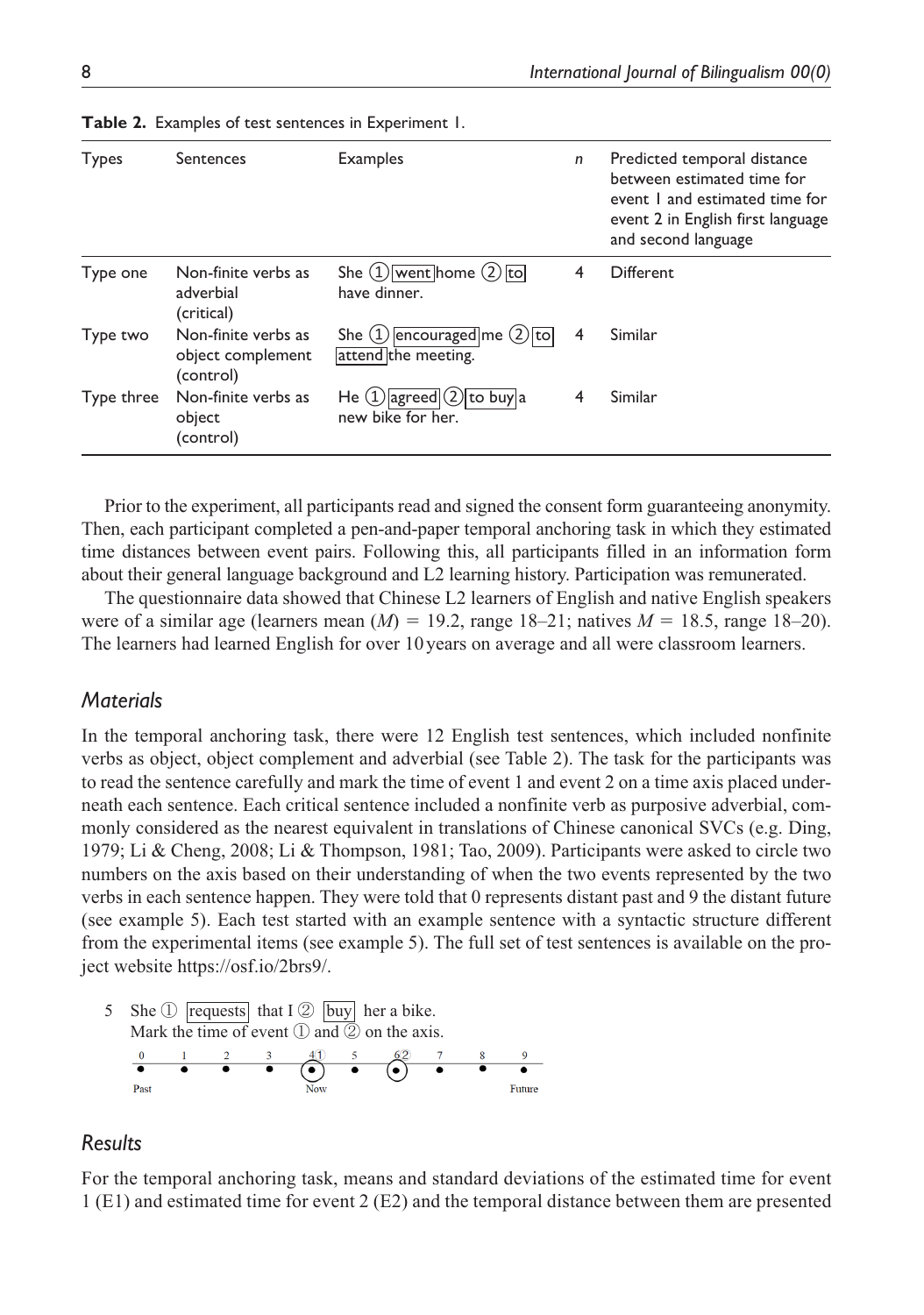| Types      | Sentences                                             | <b>Examples</b>                                         | n | Predicted temporal distance<br>between estimated time for<br>event I and estimated time for<br>event 2 in English first language<br>and second language |
|------------|-------------------------------------------------------|---------------------------------------------------------|---|---------------------------------------------------------------------------------------------------------------------------------------------------------|
| Type one   | Non-finite verbs as<br>adverbial<br>(critical)        | She $(1)$ went home $(2)$ to<br>have dinner.            | 4 | <b>Different</b>                                                                                                                                        |
| Type two   | Non-finite verbs as<br>object complement<br>(control) | She $(1)$ encouraged me $(2)$ to<br>attend the meeting. | 4 | Similar                                                                                                                                                 |
| Type three | Non-finite verbs as<br>object<br>(control)            | He $(1)$ agreed $(2)$ to buy a<br>new bike for her.     | 4 | Similar                                                                                                                                                 |

**Table 2.** Examples of test sentences in Experiment 1.

Prior to the experiment, all participants read and signed the consent form guaranteeing anonymity. Then, each participant completed a pen-and-paper temporal anchoring task in which they estimated time distances between event pairs. Following this, all participants filled in an information form about their general language background and L2 learning history. Participation was remunerated.

The questionnaire data showed that Chinese L2 learners of English and native English speakers were of a similar age (learners mean  $(M) = 19.2$ , range  $18-21$ ; natives  $M = 18.5$ , range  $18-20$ ). The learners had learned English for over 10years on average and all were classroom learners.

### *Materials*

In the temporal anchoring task, there were 12 English test sentences, which included nonfinite verbs as object, object complement and adverbial (see Table 2). The task for the participants was to read the sentence carefully and mark the time of event 1 and event 2 on a time axis placed underneath each sentence. Each critical sentence included a nonfinite verb as purposive adverbial, commonly considered as the nearest equivalent in translations of Chinese canonical SVCs (e.g. Ding, 1979; Li & Cheng, 2008; Li & Thompson, 1981; Tao, 2009). Participants were asked to circle two numbers on the axis based on their understanding of when the two events represented by the two verbs in each sentence happen. They were told that 0 represents distant past and 9 the distant future (see example 5). Each test started with an example sentence with a syntactic structure different from the experimental items (see example 5). The full set of test sentences is available on the project website [https://osf.io/2brs9/.](https://osf.io/2brs9/)



### *Results*

For the temporal anchoring task, means and standard deviations of the estimated time for event 1 (E1) and estimated time for event 2 (E2) and the temporal distance between them are presented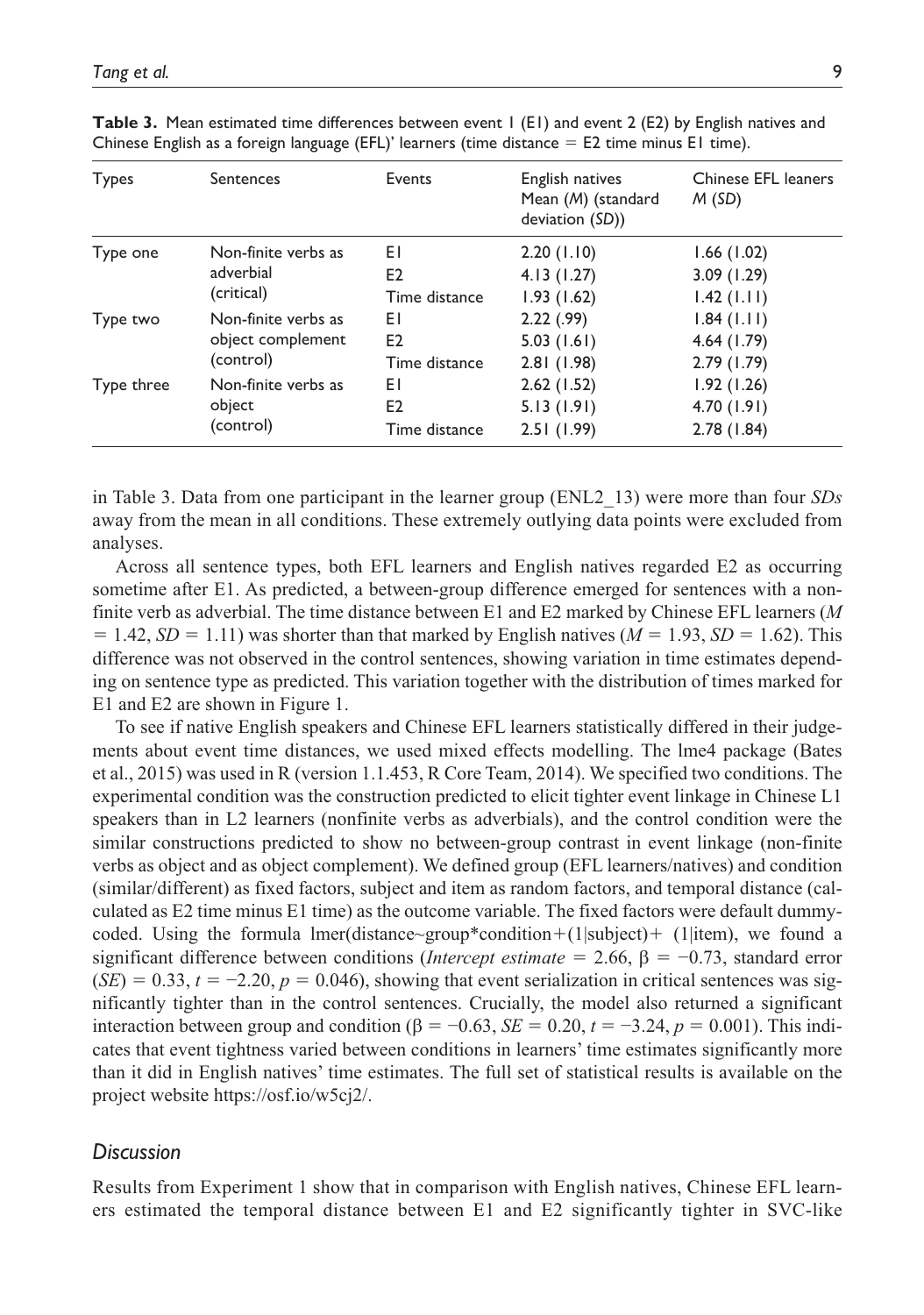| Types      | <b>Sentences</b>                                      | Events               | English natives<br>Mean (M) (standard<br>deviation (SD)) | Chinese EFL leaners<br>M(SD) |
|------------|-------------------------------------------------------|----------------------|----------------------------------------------------------|------------------------------|
| Type one   | Non-finite verbs as<br>adverbial                      | ΕI<br>E <sub>2</sub> | 2.20(1.10)<br>4.13(1.27)                                 | 1.66(1.02)<br>3.09(1.29)     |
|            | (critical)                                            | Time distance        | 1.93(1.62)                                               | $1.42$ ( $1.11$ )            |
| Type two   | Non-finite verbs as<br>object complement<br>(control) | ΕI                   | 2.22(.99)                                                | 1.84(1.11)                   |
|            |                                                       | E <sub>2</sub>       | 5.03(1.61)                                               | 4.64(1.79)                   |
|            |                                                       | Time distance        | 2.81(1.98)                                               | 2.79(1.79)                   |
| Type three | Non-finite verbs as                                   | EΙ                   | 2.62(1.52)                                               | 1.92(1.26)                   |
|            | object<br>(control)                                   | E <sub>2</sub>       | 5.13(1.91)                                               | 4.70(1.91)                   |
|            |                                                       | Time distance        | 2.51(1.99)                                               | 2.78(1.84)                   |

**Table 3.** Mean estimated time differences between event 1 (E1) and event 2 (E2) by English natives and Chinese English as a foreign language (EFL)' learners (time distance  $=$  E2 time minus E1 time).

in Table 3. Data from one participant in the learner group (ENL2\_13) were more than four *SDs* away from the mean in all conditions. These extremely outlying data points were excluded from analyses.

Across all sentence types, both EFL learners and English natives regarded E2 as occurring sometime after E1. As predicted, a between-group difference emerged for sentences with a nonfinite verb as adverbial. The time distance between E1 and E2 marked by Chinese EFL learners (*M*  $= 1.42$ ,  $SD = 1.11$  was shorter than that marked by English natives ( $M = 1.93$ ,  $SD = 1.62$ ). This difference was not observed in the control sentences, showing variation in time estimates depending on sentence type as predicted. This variation together with the distribution of times marked for E1 and E2 are shown in Figure 1.

To see if native English speakers and Chinese EFL learners statistically differed in their judgements about event time distances, we used mixed effects modelling. The lme4 package (Bates et al., 2015) was used in R (version 1.1.453, R Core Team, 2014). We specified two conditions. The experimental condition was the construction predicted to elicit tighter event linkage in Chinese L1 speakers than in L2 learners (nonfinite verbs as adverbials), and the control condition were the similar constructions predicted to show no between-group contrast in event linkage (non-finite verbs as object and as object complement). We defined group (EFL learners/natives) and condition (similar/different) as fixed factors, subject and item as random factors, and temporal distance (calculated as E2 time minus E1 time) as the outcome variable. The fixed factors were default dummycoded. Using the formula lmer(distance~group\*condition+(1|subject)+ (1|item), we found a significant difference between conditions (*Intercept estimate* = 2.66, β = −0.73, standard error  $(SE) = 0.33$ ,  $t = -2.20$ ,  $p = 0.046$ ), showing that event serialization in critical sentences was significantly tighter than in the control sentences. Crucially, the model also returned a significant interaction between group and condition (β = -0.63, *SE* = 0.20,  $t = -3.24$ ,  $p = 0.001$ ). This indicates that event tightness varied between conditions in learners' time estimates significantly more than it did in English natives' time estimates. The full set of statistical results is available on the project website [https://osf.io/w5cj2/.](https://osf.io/w5cj2/)

### *Discussion*

Results from Experiment 1 show that in comparison with English natives, Chinese EFL learners estimated the temporal distance between E1 and E2 significantly tighter in SVC-like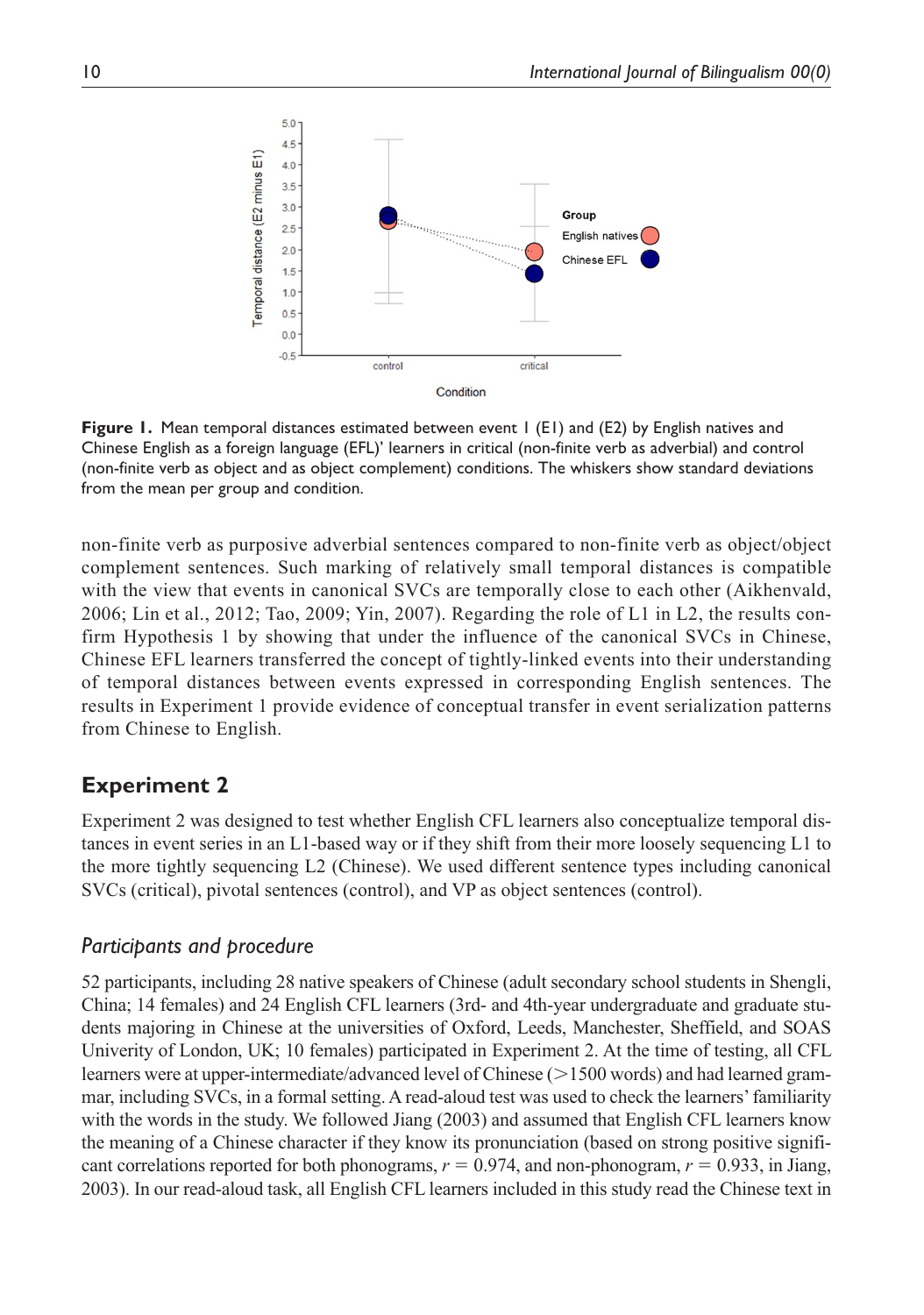

**Figure 1.** Mean temporal distances estimated between event 1 (E1) and (E2) by English natives and Chinese English as a foreign language (EFL)' learners in critical (non-finite verb as adverbial) and control (non-finite verb as object and as object complement) conditions. The whiskers show standard deviations from the mean per group and condition.

non-finite verb as purposive adverbial sentences compared to non-finite verb as object/object complement sentences. Such marking of relatively small temporal distances is compatible with the view that events in canonical SVCs are temporally close to each other (Aikhenvald, 2006; Lin et al., 2012; Tao, 2009; Yin, 2007). Regarding the role of L1 in L2, the results confirm Hypothesis 1 by showing that under the influence of the canonical SVCs in Chinese, Chinese EFL learners transferred the concept of tightly-linked events into their understanding of temporal distances between events expressed in corresponding English sentences. The results in Experiment 1 provide evidence of conceptual transfer in event serialization patterns from Chinese to English.

# **Experiment 2**

Experiment 2 was designed to test whether English CFL learners also conceptualize temporal distances in event series in an L1-based way or if they shift from their more loosely sequencing L1 to the more tightly sequencing L2 (Chinese). We used different sentence types including canonical SVCs (critical), pivotal sentences (control), and VP as object sentences (control).

# *Participants and procedure*

52 participants, including 28 native speakers of Chinese (adult secondary school students in Shengli, China; 14 females) and 24 English CFL learners (3rd- and 4th-year undergraduate and graduate students majoring in Chinese at the universities of Oxford, Leeds, Manchester, Sheffield, and SOAS Univerity of London, UK; 10 females) participated in Experiment 2. At the time of testing, all CFL learners were at upper-intermediate/advanced level of Chinese (>1500 words) and had learned grammar, including SVCs, in a formal setting. A read-aloud test was used to check the learners' familiarity with the words in the study. We followed Jiang (2003) and assumed that English CFL learners know the meaning of a Chinese character if they know its pronunciation (based on strong positive significant correlations reported for both phonograms,  $r = 0.974$ , and non-phonogram,  $r = 0.933$ , in Jiang, 2003). In our read-aloud task, all English CFL learners included in this study read the Chinese text in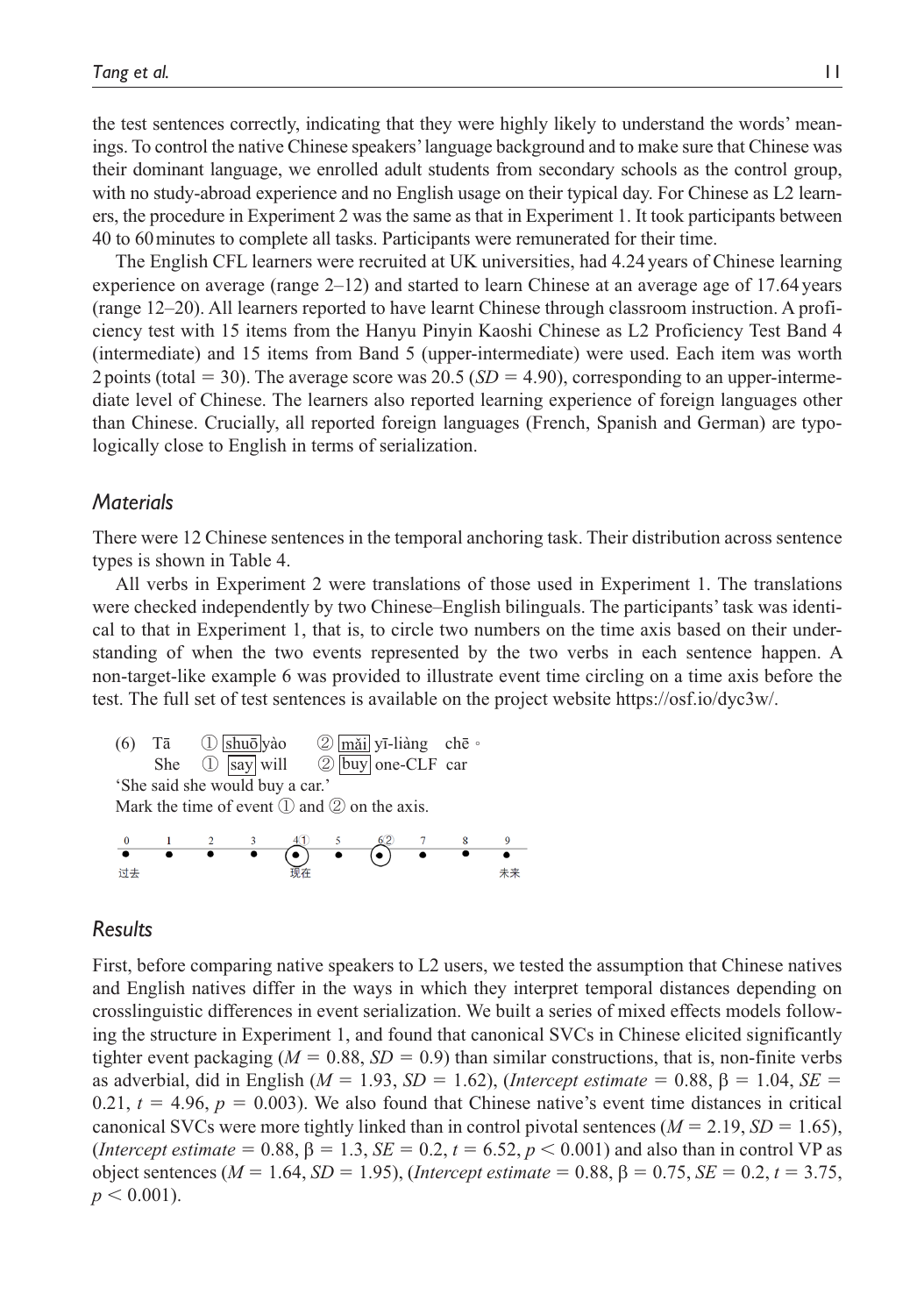the test sentences correctly, indicating that they were highly likely to understand the words' meanings. To control the native Chinese speakers' language background and to make sure that Chinese was their dominant language, we enrolled adult students from secondary schools as the control group, with no study-abroad experience and no English usage on their typical day. For Chinese as L2 learners, the procedure in Experiment 2 was the same as that in Experiment 1. It took participants between 40 to 60minutes to complete all tasks. Participants were remunerated for their time.

The English CFL learners were recruited at UK universities, had 4.24 years of Chinese learning experience on average (range 2–12) and started to learn Chinese at an average age of 17.64 years (range 12–20). All learners reported to have learnt Chinese through classroom instruction. A proficiency test with 15 items from the Hanyu Pinyin Kaoshi Chinese as L2 Proficiency Test Band 4 (intermediate) and 15 items from Band 5 (upper-intermediate) were used. Each item was worth 2 points (total  $=$  30). The average score was 20.5 (*SD*  $=$  4.90), corresponding to an upper-intermediate level of Chinese. The learners also reported learning experience of foreign languages other than Chinese. Crucially, all reported foreign languages (French, Spanish and German) are typologically close to English in terms of serialization.

### *Materials*

There were 12 Chinese sentences in the temporal anchoring task. Their distribution across sentence types is shown in Table 4.

All verbs in Experiment 2 were translations of those used in Experiment 1. The translations were checked independently by two Chinese–English bilinguals. The participants' task was identical to that in Experiment 1, that is, to circle two numbers on the time axis based on their understanding of when the two events represented by the two verbs in each sentence happen. A non-target-like example 6 was provided to illustrate event time circling on a time axis before the test. The full set of test sentences is available on the project website [https://osf.io/dyc3w/.](https://osf.io/dyc3w/)

(6) Tā ① shuō yào ② mǎi yī-liàng chē。 She  $\circled{1}$  say will  $\circled{2}$  buy one-CLF car 'She said she would buy a car.' Mark the time of event  $(1)$  and  $(2)$  on the axis.  $\begin{array}{ccccccccc}\n & 2 & 3 & 4 \textcircled{1} & 5 & 6 \textcircled{2} & 7 \\
\hline\n\bullet & \bullet & \bullet & \bullet & \bullet & \bullet\n\end{array}$  $\overline{\bullet}$ 过去 未来

### *Results*

First, before comparing native speakers to L2 users, we tested the assumption that Chinese natives and English natives differ in the ways in which they interpret temporal distances depending on crosslinguistic differences in event serialization. We built a series of mixed effects models following the structure in Experiment 1, and found that canonical SVCs in Chinese elicited significantly tighter event packaging ( $M = 0.88$ ,  $SD = 0.9$ ) than similar constructions, that is, non-finite verbs as adverbial, did in English ( $M = 1.93$ ,  $SD = 1.62$ ), (*Intercept estimate* = 0.88,  $\beta = 1.04$ ,  $SE =$ 0.21,  $t = 4.96$ ,  $p = 0.003$ ). We also found that Chinese native's event time distances in critical canonical SVCs were more tightly linked than in control pivotal sentences  $(M = 2.19, SD = 1.65)$ , (*Intercept estimate* = 0.88,  $\beta$  = 1.3,  $SE$  = 0.2,  $t$  = 6.52,  $p$  < 0.001) and also than in control VP as object sentences (*M* = 1.64, *SD* = 1.95), (*Intercept estimate* = 0.88, β = 0.75, *SE* = 0.2, *t* = 3.75,  $p < 0.001$ ).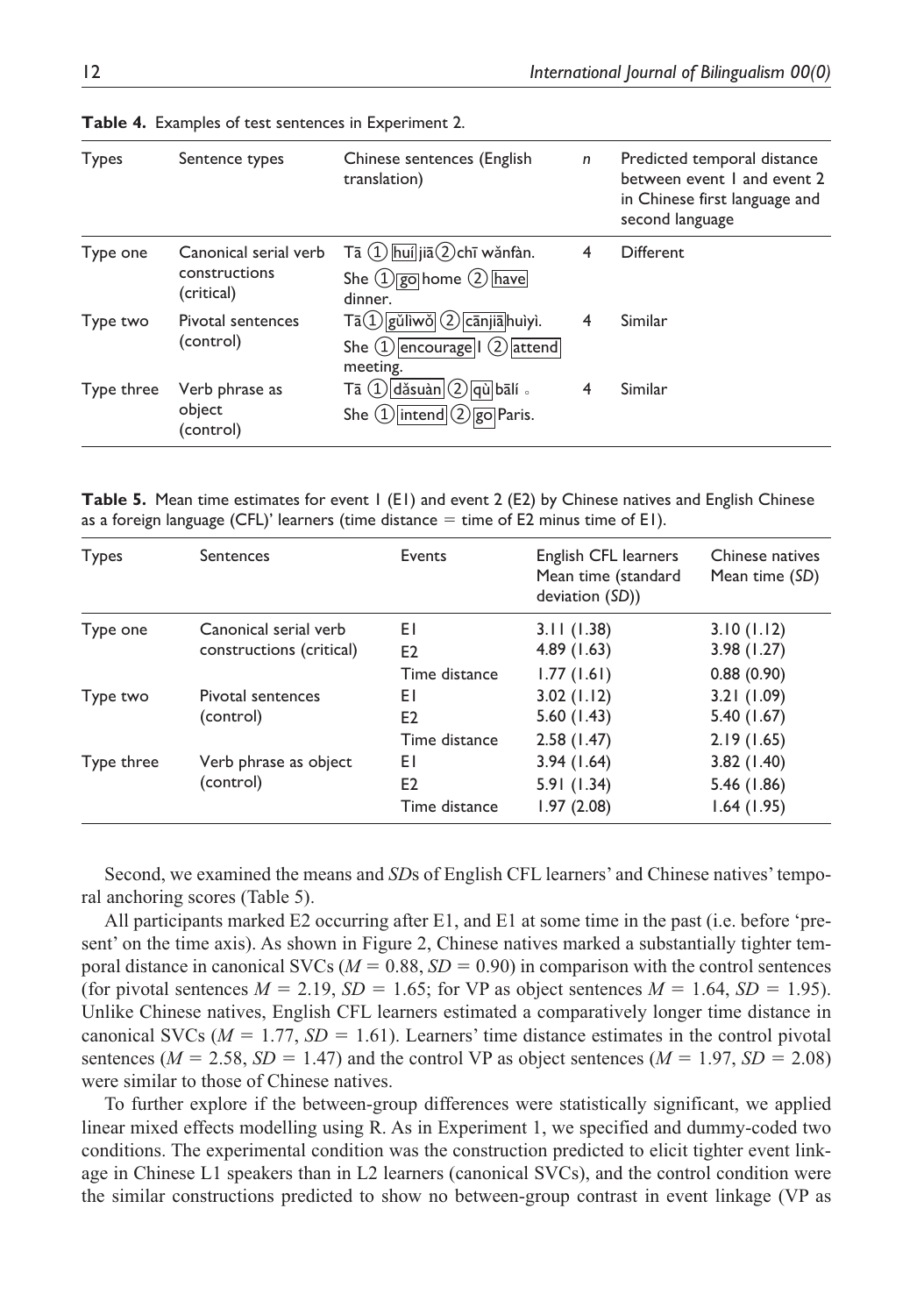| Types      | Sentence types                                       | Chinese sentences (English<br>translation)                                                                                                          | $\mathsf{n}$   | Predicted temporal distance<br>between event I and event 2<br>in Chinese first language and<br>second language |
|------------|------------------------------------------------------|-----------------------------------------------------------------------------------------------------------------------------------------------------|----------------|----------------------------------------------------------------------------------------------------------------|
| Type one   | Canonical serial verb<br>constructions<br>(critical) | $\textsf{T}\bar{\textsf{a}}\ (\textsf{1})$ huí ji $\bar{\textsf{a}}\ (\textsf{2})$ chī wǎnfàn.<br>She $\bigcirc$ go home $\bigcirc$ have<br>dinner. | 4              | <b>Different</b>                                                                                               |
| Type two   | Pivotal sentences<br>(control)                       | $\text{Ta}(1)$ gŭliwŏ $(2)$ cānjiā huiyi.<br>She $(1)$ encourage   $(2)$ attend<br>meeting.                                                         | $\overline{4}$ | Similar                                                                                                        |
| Type three | Verb phrase as<br>object<br>(control)                | $\overline{\text{Ta}}$ $\textcircled{1}$ dǎsuàn $\textcircled{2}$ qù bālí.<br>She $\bigcirc$ intend $\bigcirc$ go Paris.                            | $\overline{4}$ | Similar                                                                                                        |

**Table 4.** Examples of test sentences in Experiment 2.

**Table 5.** Mean time estimates for event 1 (E1) and event 2 (E2) by Chinese natives and English Chinese as a foreign language (CFL)' learners (time distance  $=$  time of E2 minus time of E1).

| Types      | Sentences                                         | Events               | English CFL learners<br>Mean time (standard<br>deviation (SD)) | Chinese natives<br>Mean time (SD) |
|------------|---------------------------------------------------|----------------------|----------------------------------------------------------------|-----------------------------------|
| Type one   | Canonical serial verb<br>constructions (critical) | EΙ<br>E <sub>2</sub> | 3.11(1.38)<br>4.89(1.63)                                       | 3.10(1.12)<br>3.98(1.27)          |
|            |                                                   | Time distance        | 1.77(1.61)                                                     | 0.88(0.90)                        |
| Type two   | Pivotal sentences<br>(control)                    | EΙ<br>E <sub>2</sub> | 3.02(1.12)<br>5.60(1.43)                                       | 3.21(1.09)<br>5.40 (1.67)         |
|            |                                                   | Time distance        | 2.58(1.47)                                                     | 2.19(1.65)                        |
| Type three | Verb phrase as object                             | ΕI                   | 3.94(1.64)                                                     | 3.82(1.40)                        |
|            | (control)                                         | E <sub>2</sub>       | 5.91(1.34)                                                     | 5.46 (1.86)                       |
|            |                                                   | Time distance        | 1.97(2.08)                                                     | 1.64(1.95)                        |

Second, we examined the means and *SD*s of English CFL learners' and Chinese natives' temporal anchoring scores (Table 5).

All participants marked E2 occurring after E1, and E1 at some time in the past (i.e. before 'present' on the time axis). As shown in Figure 2, Chinese natives marked a substantially tighter temporal distance in canonical SVCs ( $M = 0.88$ ,  $SD = 0.90$ ) in comparison with the control sentences (for pivotal sentences  $M = 2.19$ ,  $SD = 1.65$ ; for VP as object sentences  $M = 1.64$ ,  $SD = 1.95$ ). Unlike Chinese natives, English CFL learners estimated a comparatively longer time distance in canonical SVCs  $(M = 1.77, SD = 1.61)$ . Learners' time distance estimates in the control pivotal sentences ( $M = 2.58$ ,  $SD = 1.47$ ) and the control VP as object sentences ( $M = 1.97$ ,  $SD = 2.08$ ) were similar to those of Chinese natives.

To further explore if the between-group differences were statistically significant, we applied linear mixed effects modelling using R. As in Experiment 1, we specified and dummy-coded two conditions. The experimental condition was the construction predicted to elicit tighter event linkage in Chinese L1 speakers than in L2 learners (canonical SVCs), and the control condition were the similar constructions predicted to show no between-group contrast in event linkage (VP as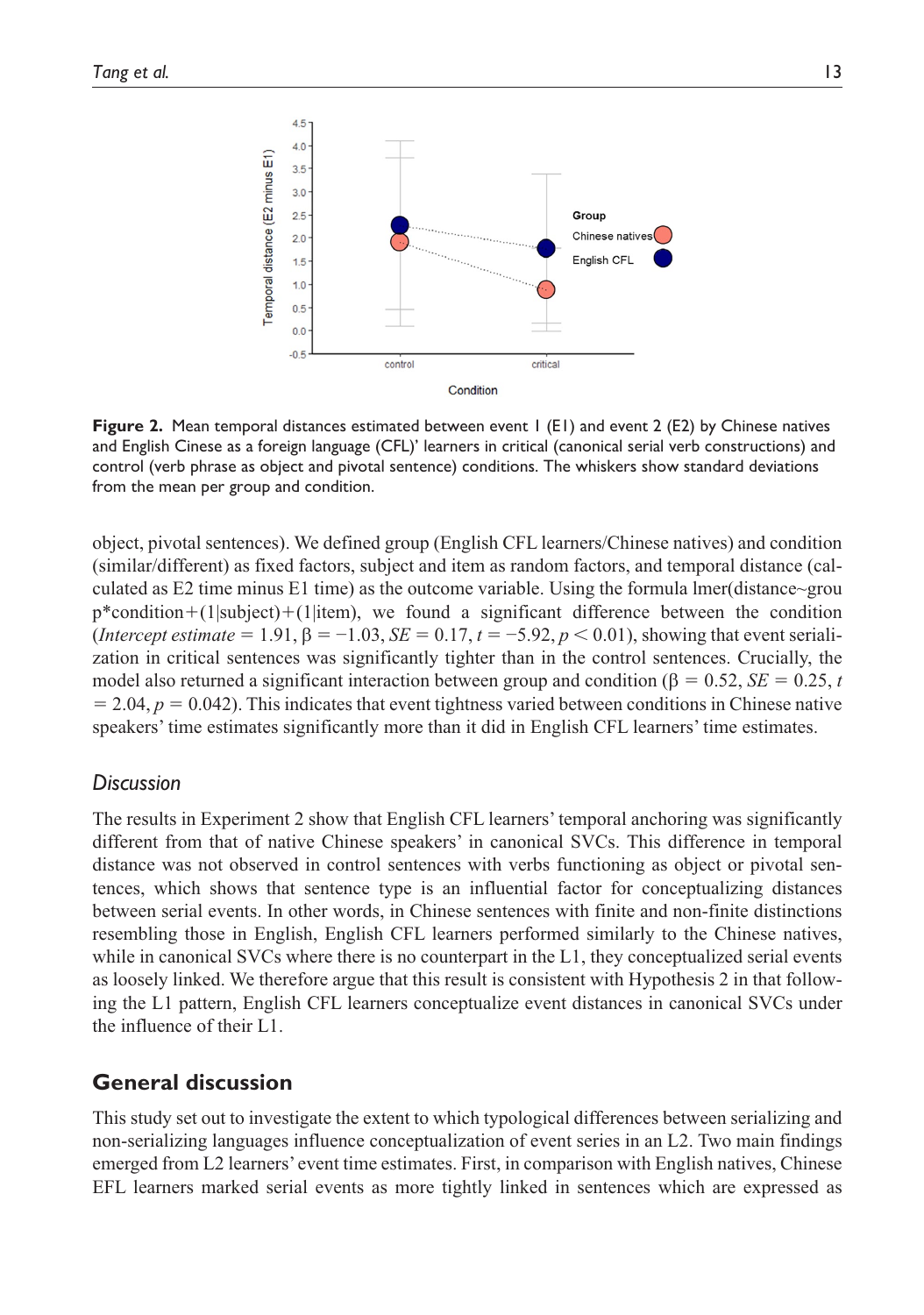

**Figure 2.** Mean temporal distances estimated between event 1 (E1) and event 2 (E2) by Chinese natives and English Cinese as a foreign language (CFL)' learners in critical (canonical serial verb constructions) and control (verb phrase as object and pivotal sentence) conditions. The whiskers show standard deviations from the mean per group and condition.

object, pivotal sentences). We defined group (English CFL learners/Chinese natives) and condition (similar/different) as fixed factors, subject and item as random factors, and temporal distance (calculated as E2 time minus E1 time) as the outcome variable. Using the formula lmer(distance~grou  $p^*$ condition+(1|subject)+(1|item), we found a significant difference between the condition (*Intercept estimate* = 1.91,  $\beta$  = −1.03, *SE* = 0.17,  $t$  = −5.92,  $p$  < 0.01), showing that event serialization in critical sentences was significantly tighter than in the control sentences. Crucially, the model also returned a significant interaction between group and condition (β = 0.52, *SE* = 0.25, *t*  $= 2.04, p = 0.042$ ). This indicates that event tightness varied between conditions in Chinese native speakers' time estimates significantly more than it did in English CFL learners' time estimates.

# *Discussion*

The results in Experiment 2 show that English CFL learners' temporal anchoring was significantly different from that of native Chinese speakers' in canonical SVCs. This difference in temporal distance was not observed in control sentences with verbs functioning as object or pivotal sentences, which shows that sentence type is an influential factor for conceptualizing distances between serial events. In other words, in Chinese sentences with finite and non-finite distinctions resembling those in English, English CFL learners performed similarly to the Chinese natives, while in canonical SVCs where there is no counterpart in the L1, they conceptualized serial events as loosely linked. We therefore argue that this result is consistent with Hypothesis 2 in that following the L1 pattern, English CFL learners conceptualize event distances in canonical SVCs under the influence of their L1.

# **General discussion**

This study set out to investigate the extent to which typological differences between serializing and non-serializing languages influence conceptualization of event series in an L2. Two main findings emerged from L2 learners' event time estimates. First, in comparison with English natives, Chinese EFL learners marked serial events as more tightly linked in sentences which are expressed as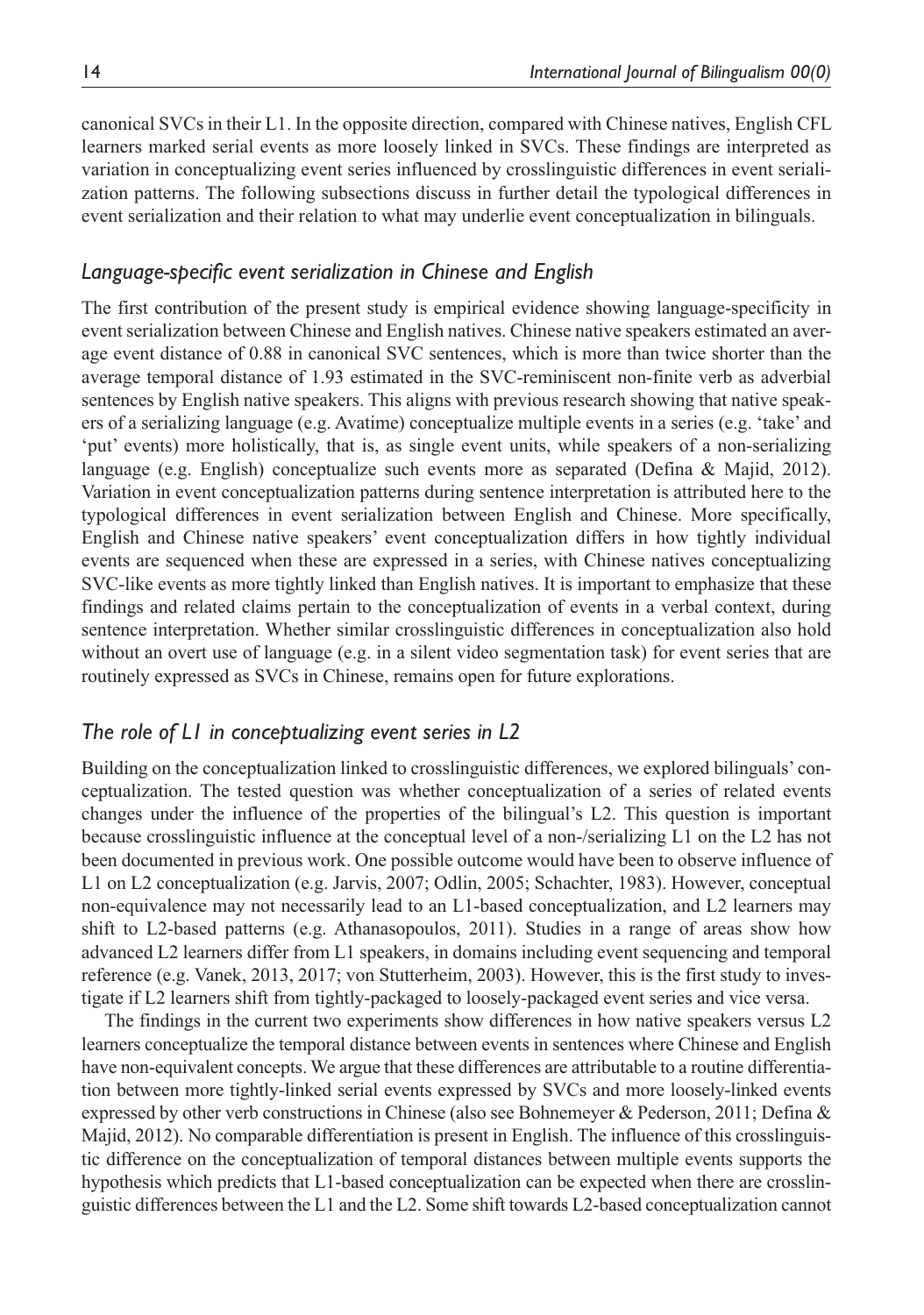canonical SVCs in their L1. In the opposite direction, compared with Chinese natives, English CFL learners marked serial events as more loosely linked in SVCs. These findings are interpreted as variation in conceptualizing event series influenced by crosslinguistic differences in event serialization patterns. The following subsections discuss in further detail the typological differences in event serialization and their relation to what may underlie event conceptualization in bilinguals.

# *Language-specific event serialization in Chinese and English*

The first contribution of the present study is empirical evidence showing language-specificity in event serialization between Chinese and English natives. Chinese native speakers estimated an average event distance of 0.88 in canonical SVC sentences, which is more than twice shorter than the average temporal distance of 1.93 estimated in the SVC-reminiscent non-finite verb as adverbial sentences by English native speakers. This aligns with previous research showing that native speakers of a serializing language (e.g. Avatime) conceptualize multiple events in a series (e.g. 'take' and 'put' events) more holistically, that is, as single event units, while speakers of a non-serializing language (e.g. English) conceptualize such events more as separated (Defina & Majid, 2012). Variation in event conceptualization patterns during sentence interpretation is attributed here to the typological differences in event serialization between English and Chinese. More specifically, English and Chinese native speakers' event conceptualization differs in how tightly individual events are sequenced when these are expressed in a series, with Chinese natives conceptualizing SVC-like events as more tightly linked than English natives. It is important to emphasize that these findings and related claims pertain to the conceptualization of events in a verbal context, during sentence interpretation. Whether similar crosslinguistic differences in conceptualization also hold without an overt use of language (e.g. in a silent video segmentation task) for event series that are routinely expressed as SVCs in Chinese, remains open for future explorations.

# *The role of L1 in conceptualizing event series in L2*

Building on the conceptualization linked to crosslinguistic differences, we explored bilinguals' conceptualization. The tested question was whether conceptualization of a series of related events changes under the influence of the properties of the bilingual's L2. This question is important because crosslinguistic influence at the conceptual level of a non-/serializing L1 on the L2 has not been documented in previous work. One possible outcome would have been to observe influence of L1 on L2 conceptualization (e.g. Jarvis, 2007; Odlin, 2005; Schachter, 1983). However, conceptual non-equivalence may not necessarily lead to an L1-based conceptualization, and L2 learners may shift to L2-based patterns (e.g. Athanasopoulos, 2011). Studies in a range of areas show how advanced L2 learners differ from L1 speakers, in domains including event sequencing and temporal reference (e.g. Vanek, 2013, 2017; von Stutterheim, 2003). However, this is the first study to investigate if L2 learners shift from tightly-packaged to loosely-packaged event series and vice versa.

The findings in the current two experiments show differences in how native speakers versus L2 learners conceptualize the temporal distance between events in sentences where Chinese and English have non-equivalent concepts. We argue that these differences are attributable to a routine differentiation between more tightly-linked serial events expressed by SVCs and more loosely-linked events expressed by other verb constructions in Chinese (also see Bohnemeyer & Pederson, 2011; Defina & Majid, 2012). No comparable differentiation is present in English. The influence of this crosslinguistic difference on the conceptualization of temporal distances between multiple events supports the hypothesis which predicts that L1-based conceptualization can be expected when there are crosslinguistic differences between the L1 and the L2. Some shift towards L2-based conceptualization cannot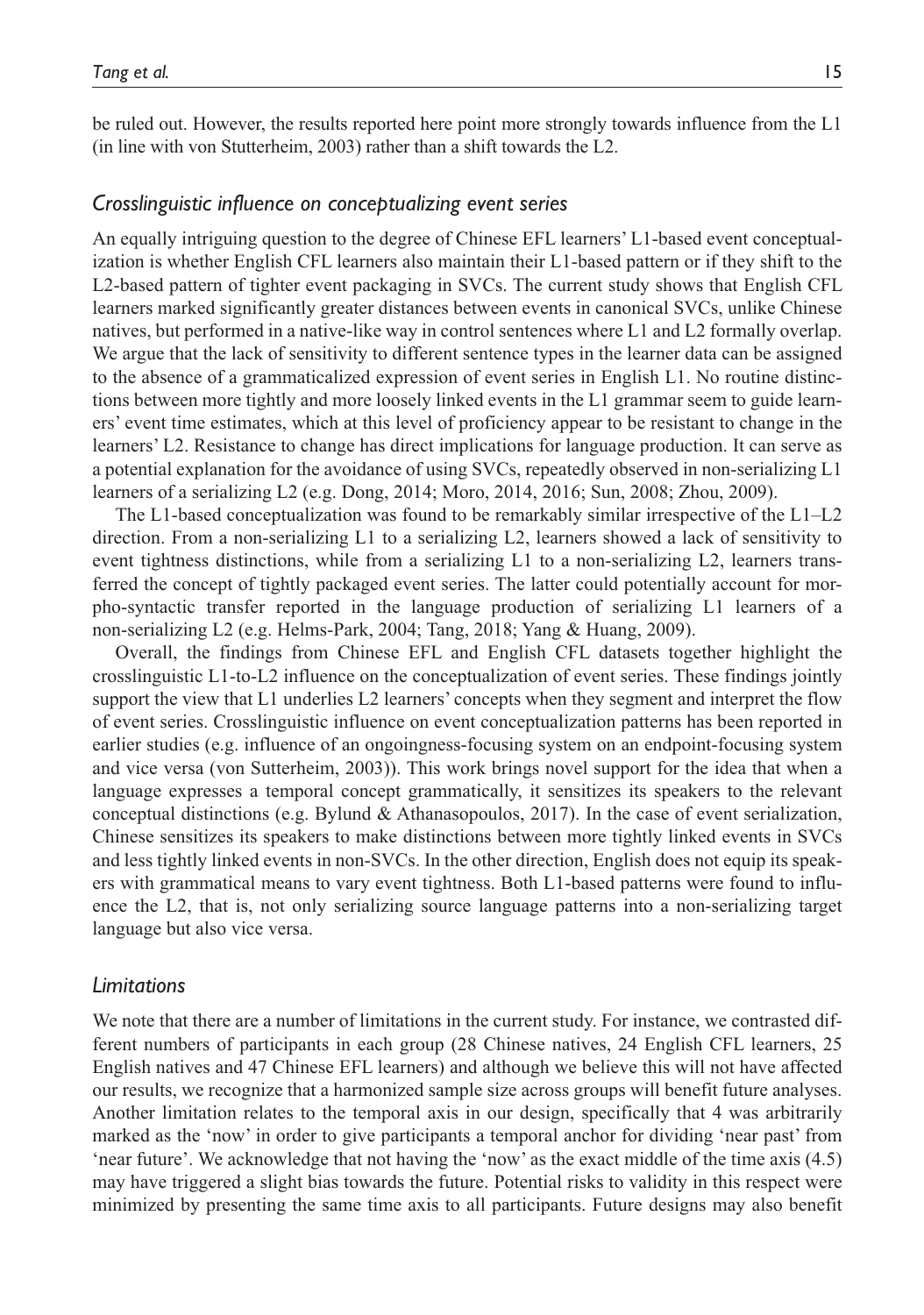be ruled out. However, the results reported here point more strongly towards influence from the L1 (in line with von Stutterheim, 2003) rather than a shift towards the L2.

### *Crosslinguistic influence on conceptualizing event series*

An equally intriguing question to the degree of Chinese EFL learners' L1-based event conceptualization is whether English CFL learners also maintain their L1-based pattern or if they shift to the L2-based pattern of tighter event packaging in SVCs. The current study shows that English CFL learners marked significantly greater distances between events in canonical SVCs, unlike Chinese natives, but performed in a native-like way in control sentences where L1 and L2 formally overlap. We argue that the lack of sensitivity to different sentence types in the learner data can be assigned to the absence of a grammaticalized expression of event series in English L1. No routine distinctions between more tightly and more loosely linked events in the L1 grammar seem to guide learners' event time estimates, which at this level of proficiency appear to be resistant to change in the learners' L2. Resistance to change has direct implications for language production. It can serve as a potential explanation for the avoidance of using SVCs, repeatedly observed in non-serializing L1 learners of a serializing L2 (e.g. Dong, 2014; Moro, 2014, 2016; Sun, 2008; Zhou, 2009).

The L1-based conceptualization was found to be remarkably similar irrespective of the L1–L2 direction. From a non-serializing L1 to a serializing L2, learners showed a lack of sensitivity to event tightness distinctions, while from a serializing L1 to a non-serializing L2, learners transferred the concept of tightly packaged event series. The latter could potentially account for morpho-syntactic transfer reported in the language production of serializing L1 learners of a non-serializing L2 (e.g. Helms-Park, 2004; Tang, 2018; Yang & Huang, 2009).

Overall, the findings from Chinese EFL and English CFL datasets together highlight the crosslinguistic L1-to-L2 influence on the conceptualization of event series. These findings jointly support the view that L1 underlies L2 learners' concepts when they segment and interpret the flow of event series. Crosslinguistic influence on event conceptualization patterns has been reported in earlier studies (e.g. influence of an ongoingness-focusing system on an endpoint-focusing system and vice versa (von Sutterheim, 2003)). This work brings novel support for the idea that when a language expresses a temporal concept grammatically, it sensitizes its speakers to the relevant conceptual distinctions (e.g. Bylund & Athanasopoulos, 2017). In the case of event serialization, Chinese sensitizes its speakers to make distinctions between more tightly linked events in SVCs and less tightly linked events in non-SVCs. In the other direction, English does not equip its speakers with grammatical means to vary event tightness. Both L1-based patterns were found to influence the L2, that is, not only serializing source language patterns into a non-serializing target language but also vice versa.

### *Limitations*

We note that there are a number of limitations in the current study. For instance, we contrasted different numbers of participants in each group (28 Chinese natives, 24 English CFL learners, 25 English natives and 47 Chinese EFL learners) and although we believe this will not have affected our results, we recognize that a harmonized sample size across groups will benefit future analyses. Another limitation relates to the temporal axis in our design, specifically that 4 was arbitrarily marked as the 'now' in order to give participants a temporal anchor for dividing 'near past' from 'near future'. We acknowledge that not having the 'now' as the exact middle of the time axis (4.5) may have triggered a slight bias towards the future. Potential risks to validity in this respect were minimized by presenting the same time axis to all participants. Future designs may also benefit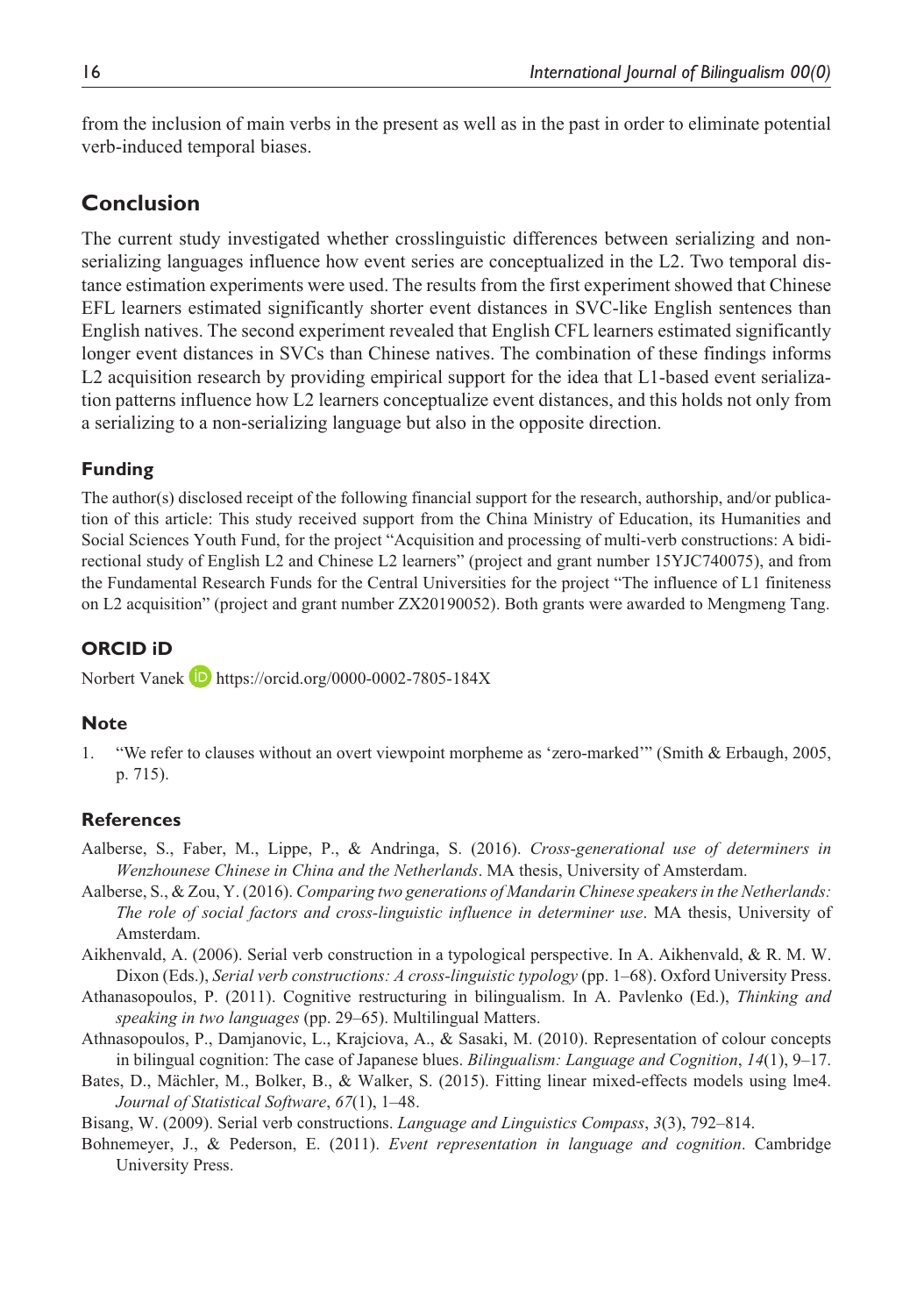from the inclusion of main verbs in the present as well as in the past in order to eliminate potential verb-induced temporal biases.

# **Conclusion**

The current study investigated whether crosslinguistic differences between serializing and nonserializing languages influence how event series are conceptualized in the L2. Two temporal distance estimation experiments were used. The results from the first experiment showed that Chinese EFL learners estimated significantly shorter event distances in SVC-like English sentences than English natives. The second experiment revealed that English CFL learners estimated significantly longer event distances in SVCs than Chinese natives. The combination of these findings informs L2 acquisition research by providing empirical support for the idea that L1-based event serialization patterns influence how L2 learners conceptualize event distances, and this holds not only from a serializing to a non-serializing language but also in the opposite direction.

### **Funding**

The author(s) disclosed receipt of the following financial support for the research, authorship, and/or publication of this article: This study received support from the China Ministry of Education, its Humanities and Social Sciences Youth Fund, for the project "Acquisition and processing of multi-verb constructions: A bidirectional study of English L2 and Chinese L2 learners" (project and grant number 15YJC740075), and from the Fundamental Research Funds for the Central Universities for the project "The influence of L1 finiteness on L2 acquisition" (project and grant number ZX20190052). Both grants were awarded to Mengmeng Tang.

# **ORCID iD**

Norbert Vanek **b** <https://orcid.org/0000-0002-7805-184X>

### **Note**

1. "We refer to clauses without an overt viewpoint morpheme as 'zero-marked'" (Smith & Erbaugh, 2005, p. 715).

### **References**

- Aalberse, S., Faber, M., Lippe, P., & Andringa, S. (2016). *Cross-generational use of determiners in Wenzhounese Chinese in China and the Netherlands*. MA thesis, University of Amsterdam.
- Aalberse, S., & Zou, Y. (2016). *Comparing two generations of Mandarin Chinese speakers in the Netherlands: The role of social factors and cross-linguistic influence in determiner use*. MA thesis, University of Amsterdam.
- Aikhenvald, A. (2006). Serial verb construction in a typological perspective. In A. Aikhenvald, & R. M. W. Dixon (Eds.), *Serial verb constructions: A cross-linguistic typology* (pp. 1–68). Oxford University Press.
- Athanasopoulos, P. (2011). Cognitive restructuring in bilingualism. In A. Pavlenko (Ed.), *Thinking and speaking in two languages* (pp. 29–65). Multilingual Matters.
- Athnasopoulos, P., Damjanovic, L., Krajciova, A., & Sasaki, M. (2010). Representation of colour concepts in bilingual cognition: The case of Japanese blues. *Bilingualism: Language and Cognition*, *14*(1), 9–17.
- Bates, D., Mächler, M., Bolker, B., & Walker, S. (2015). Fitting linear mixed-effects models using lme4. *Journal of Statistical Software*, *67*(1), 1–48.
- Bisang, W. (2009). Serial verb constructions. *Language and Linguistics Compass*, *3*(3), 792–814.
- Bohnemeyer, J., & Pederson, E. (2011). *Event representation in language and cognition*. Cambridge University Press.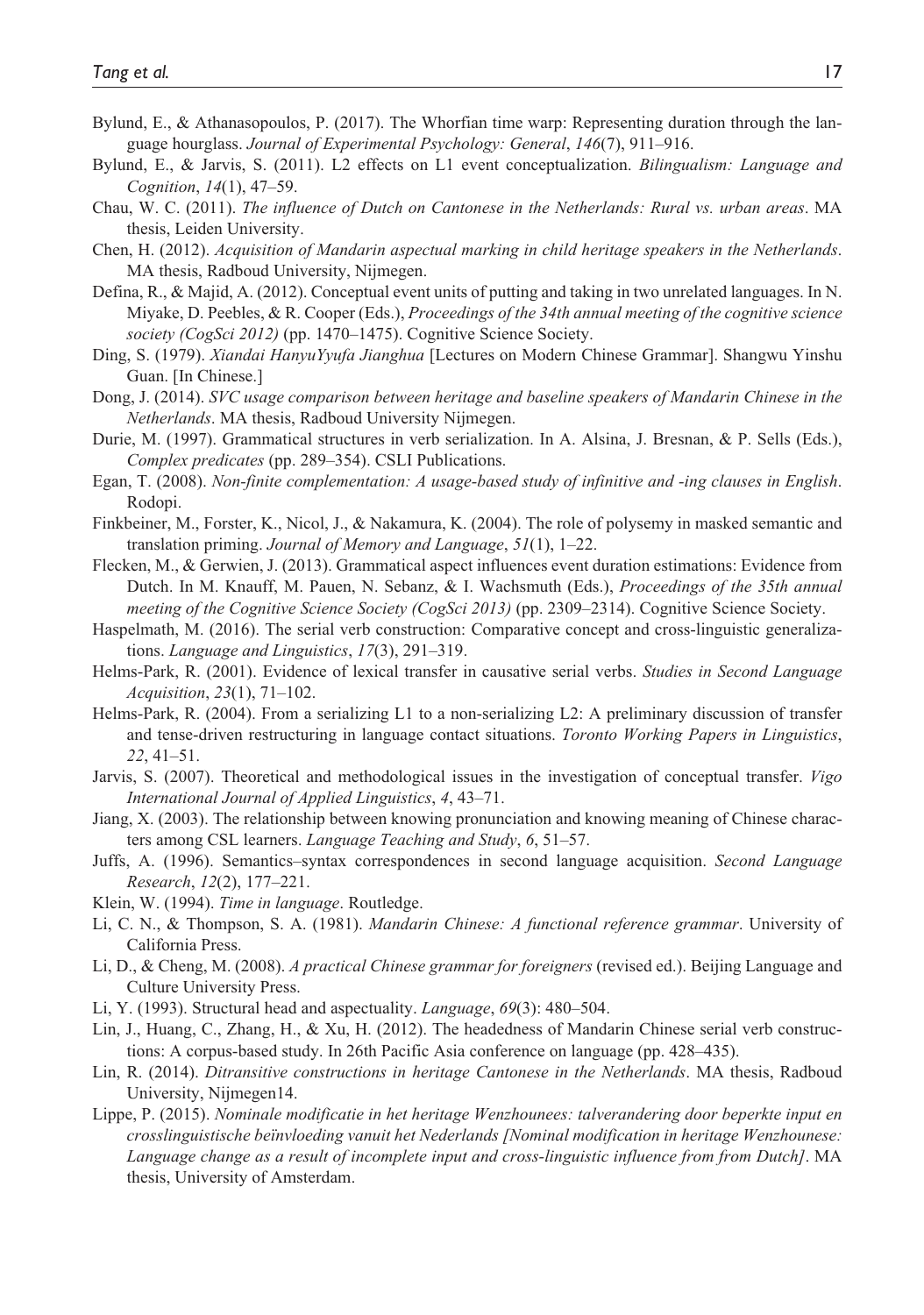- Bylund, E., & Athanasopoulos, P. (2017). The Whorfian time warp: Representing duration through the language hourglass. *Journal of Experimental Psychology: General*, *146*(7), 911–916.
- Bylund, E., & Jarvis, S. (2011). L2 effects on L1 event conceptualization. *Bilingualism: Language and Cognition*, *14*(1), 47–59.
- Chau, W. C. (2011). *The influence of Dutch on Cantonese in the Netherlands: Rural vs. urban areas*. MA thesis, Leiden University.
- Chen, H. (2012). *Acquisition of Mandarin aspectual marking in child heritage speakers in the Netherlands*. MA thesis, Radboud University, Nijmegen.
- Defina, R., & Majid, A. (2012). Conceptual event units of putting and taking in two unrelated languages. In N. Miyake, D. Peebles, & R. Cooper (Eds.), *Proceedings of the 34th annual meeting of the cognitive science society (CogSci 2012)* (pp. 1470–1475). Cognitive Science Society.
- Ding, S. (1979). *Xiandai HanyuYyufa Jianghua* [Lectures on Modern Chinese Grammar]. Shangwu Yinshu Guan. [In Chinese.]
- Dong, J. (2014). *SVC usage comparison between heritage and baseline speakers of Mandarin Chinese in the Netherlands*. MA thesis, Radboud University Nijmegen.
- Durie, M. (1997). Grammatical structures in verb serialization. In A. Alsina, J. Bresnan, & P. Sells (Eds.), *Complex predicates* (pp. 289–354). CSLI Publications.
- Egan, T. (2008). *Non-finite complementation: A usage-based study of infinitive and -ing clauses in English*. Rodopi.
- Finkbeiner, M., Forster, K., Nicol, J., & Nakamura, K. (2004). The role of polysemy in masked semantic and translation priming. *Journal of Memory and Language*, *51*(1), 1–22.
- Flecken, M., & Gerwien, J. (2013). Grammatical aspect influences event duration estimations: Evidence from Dutch. In M. Knauff, M. Pauen, N. Sebanz, & I. Wachsmuth (Eds.), *Proceedings of the 35th annual meeting of the Cognitive Science Society (CogSci 2013)* (pp. 2309–2314). Cognitive Science Society.
- Haspelmath, M. (2016). The serial verb construction: Comparative concept and cross-linguistic generalizations. *Language and Linguistics*, *17*(3), 291–319.
- Helms-Park, R. (2001). Evidence of lexical transfer in causative serial verbs. *Studies in Second Language Acquisition*, *23*(1), 71–102.
- Helms-Park, R. (2004). From a serializing L1 to a non-serializing L2: A preliminary discussion of transfer and tense-driven restructuring in language contact situations. *Toronto Working Papers in Linguistics*, *22*, 41–51.
- Jarvis, S. (2007). Theoretical and methodological issues in the investigation of conceptual transfer. *Vigo International Journal of Applied Linguistics*, *4*, 43–71.
- Jiang, X. (2003). The relationship between knowing pronunciation and knowing meaning of Chinese characters among CSL learners. *Language Teaching and Study*, *6*, 51–57.
- Juffs, A. (1996). Semantics–syntax correspondences in second language acquisition. *Second Language Research*, *12*(2), 177–221.
- Klein, W. (1994). *Time in language*. Routledge.
- Li, C. N., & Thompson, S. A. (1981). *Mandarin Chinese: A functional reference grammar*. University of California Press.
- Li, D., & Cheng, M. (2008). *A practical Chinese grammar for foreigners* (revised ed.). Beijing Language and Culture University Press.
- Li, Y. (1993). Structural head and aspectuality. *Language*, *69*(3): 480–504.
- Lin, J., Huang, C., Zhang, H., & Xu, H. (2012). The headedness of Mandarin Chinese serial verb constructions: A corpus-based study. In 26th Pacific Asia conference on language (pp. 428–435).
- Lin, R. (2014). *Ditransitive constructions in heritage Cantonese in the Netherlands*. MA thesis, Radboud University, Nijmegen14.
- Lippe, P. (2015). *Nominale modificatie in het heritage Wenzhounees: talverandering door beperkte input en crosslinguistische beïnvloeding vanuit het Nederlands [Nominal modification in heritage Wenzhounese: Language change as a result of incomplete input and cross-linguistic influence from from Dutch]*. MA thesis, University of Amsterdam.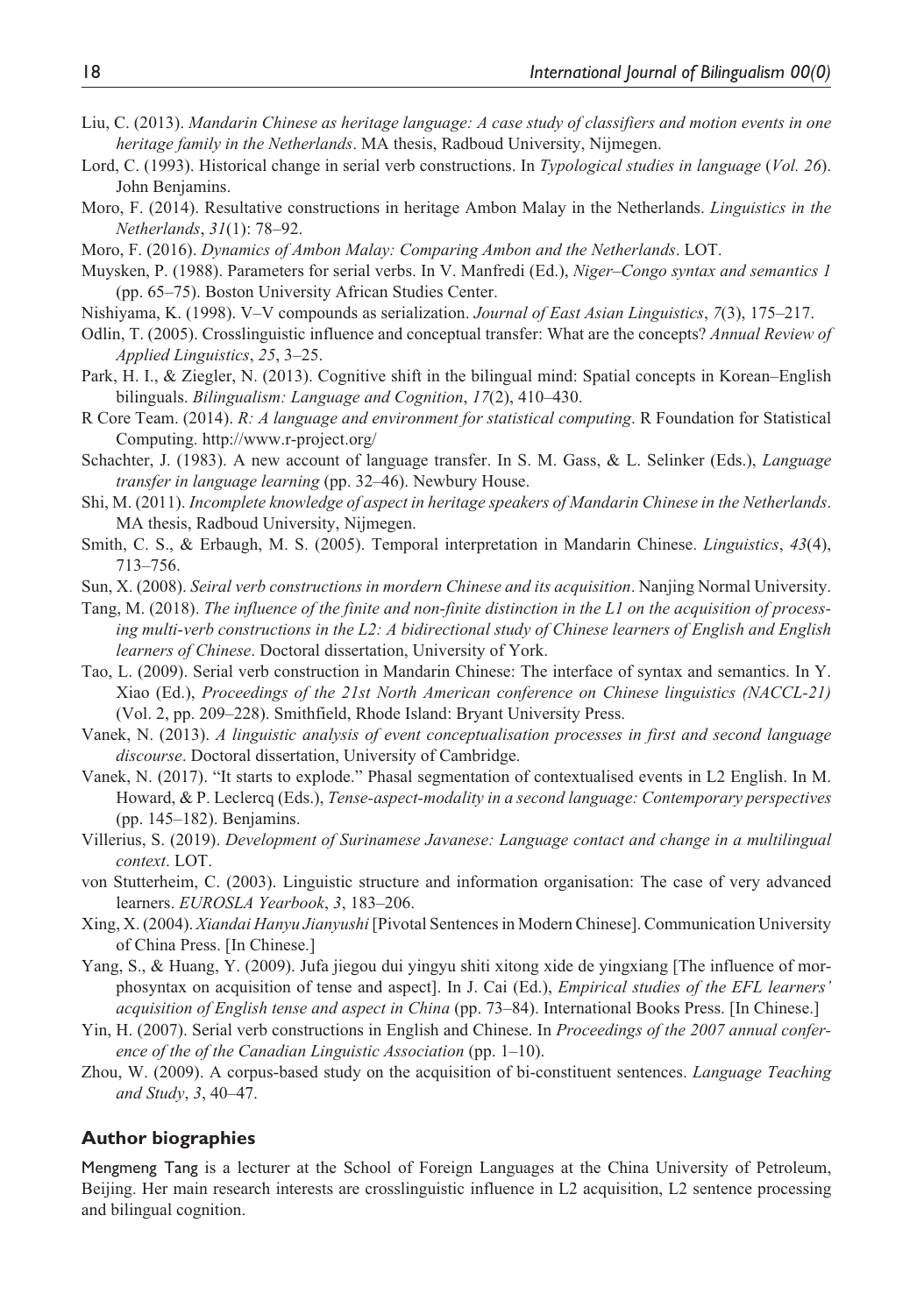- Liu, C. (2013). *Mandarin Chinese as heritage language: A case study of classifiers and motion events in one heritage family in the Netherlands*. MA thesis, Radboud University, Nijmegen.
- Lord, C. (1993). Historical change in serial verb constructions. In *Typological studies in language* (*Vol. 26*). John Benjamins.
- Moro, F. (2014). Resultative constructions in heritage Ambon Malay in the Netherlands. *Linguistics in the Netherlands*, *31*(1): 78–92.
- Moro, F. (2016). *Dynamics of Ambon Malay: Comparing Ambon and the Netherlands*. LOT.
- Muysken, P. (1988). Parameters for serial verbs. In V. Manfredi (Ed.), *Niger–Congo syntax and semantics 1* (pp. 65–75). Boston University African Studies Center.
- Nishiyama, K. (1998). V–V compounds as serialization. *Journal of East Asian Linguistics*, *7*(3), 175–217.
- Odlin, T. (2005). Crosslinguistic influence and conceptual transfer: What are the concepts? *Annual Review of Applied Linguistics*, *25*, 3–25.
- Park, H. I., & Ziegler, N. (2013). Cognitive shift in the bilingual mind: Spatial concepts in Korean–English bilinguals. *Bilingualism: Language and Cognition*, *17*(2), 410–430.
- R Core Team. (2014). *R: A language and environment for statistical computing*. R Foundation for Statistical Computing. <http://www.r-project.org/>
- Schachter, J. (1983). A new account of language transfer. In S. M. Gass, & L. Selinker (Eds.), *Language transfer in language learning* (pp. 32–46). Newbury House.
- Shi, M. (2011). *Incomplete knowledge of aspect in heritage speakers of Mandarin Chinese in the Netherlands*. MA thesis, Radboud University, Nijmegen.
- Smith, C. S., & Erbaugh, M. S. (2005). Temporal interpretation in Mandarin Chinese. *Linguistics*, *43*(4), 713–756.
- Sun, X. (2008). *Seiral verb constructions in mordern Chinese and its acquisition*. Nanjing Normal University.
- Tang, M. (2018). *The influence of the finite and non-finite distinction in the L1 on the acquisition of processing multi-verb constructions in the L2: A bidirectional study of Chinese learners of English and English learners of Chinese*. Doctoral dissertation, University of York.
- Tao, L. (2009). Serial verb construction in Mandarin Chinese: The interface of syntax and semantics. In Y. Xiao (Ed.), *Proceedings of the 21st North American conference on Chinese linguistics (NACCL-21)* (Vol. 2, pp. 209–228). Smithfield, Rhode Island: Bryant University Press.
- Vanek, N. (2013). *A linguistic analysis of event conceptualisation processes in first and second language discourse*. Doctoral dissertation, University of Cambridge.
- Vanek, N. (2017). "It starts to explode." Phasal segmentation of contextualised events in L2 English. In M. Howard, & P. Leclercq (Eds.), *Tense-aspect-modality in a second language: Contemporary perspectives* (pp. 145–182). Benjamins.
- Villerius, S. (2019). *Development of Surinamese Javanese: Language contact and change in a multilingual context*. LOT.
- von Stutterheim, C. (2003). Linguistic structure and information organisation: The case of very advanced learners. *EUROSLA Yearbook*, *3*, 183–206.
- Xing, X. (2004). *Xiandai Hanyu Jianyushi* [Pivotal Sentences in Modern Chinese]. Communication University of China Press. [In Chinese.]
- Yang, S., & Huang, Y. (2009). Jufa jiegou dui yingyu shiti xitong xide de yingxiang [The influence of morphosyntax on acquisition of tense and aspect]. In J. Cai (Ed.), *Empirical studies of the EFL learners' acquisition of English tense and aspect in China* (pp. 73–84). International Books Press. [In Chinese.]
- Yin, H. (2007). Serial verb constructions in English and Chinese. In *Proceedings of the 2007 annual conference of the of the Canadian Linguistic Association* (pp. 1–10).
- Zhou, W. (2009). A corpus-based study on the acquisition of bi-constituent sentences. *Language Teaching and Study*, *3*, 40–47.

#### **Author biographies**

Mengmeng Tang is a lecturer at the School of Foreign Languages at the China University of Petroleum, Beijing. Her main research interests are crosslinguistic influence in L2 acquisition, L2 sentence processing and bilingual cognition.